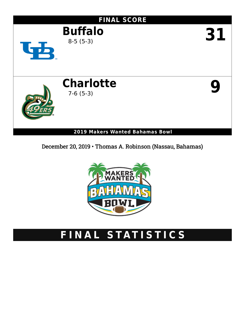

December 20, 2019 • Thomas A. Robinson (Nassau, Bahamas)



# **F I N A L S TAT I S T I C S**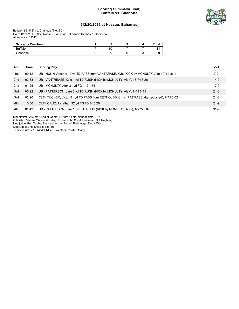### **Scoring Summary(Final) Buffalo vs. Charlotte**



### **(12/20/2019 at Nassau, Bahamas)**

Buffalo (8-5; 5-3) vs. Charlotte (7-6; 5-3) Date: 12/20/2019 • Site: Nassau, Bahamas • Stadium: Thomas A. Robinson Attendance: 13547

| <b>Score by Quarters</b> |    |  | Tota.   |
|--------------------------|----|--|---------|
| <b>Buffalo</b>           | 10 |  | ο.<br>ັ |
| Charlotte                |    |  |         |

| Qtr | Time  | <b>Scoring Play</b>                                                                          | $V-H$    |
|-----|-------|----------------------------------------------------------------------------------------------|----------|
| 1st | 09:12 | UB - NUNN, Antonio 12 yd TD PASS from VANTREASE, Kyle (KICK by MCNULTY, Alex), 7-61 3:11     | 7-0      |
| 2nd | 03:33 | UB - VANTREASE, Kyle 1 yd TD RUSH (KICK by MCNULTY, Alex), 15-74 8:26                        | $14 - 0$ |
| 2nd | 01:25 | UB - MCNULTY, Alex 31 yd FG 4--2 1:55                                                        | $17-0$   |
| 3rd | 05:22 | UB - PATTERSON, Jare 6 yd TD RUSH (KICK by MCNULTY, Alex), 7-43 3:45                         | $24 - 0$ |
| 3rd | 02:20 | CLT - TUCKER, Victor 51 yd TD PASS from REYNOLDS, Chris (PAT PASS attempt failed), 7-75 3:02 | $24-6$   |
| 4th | 10:50 | CLT - CRUZ, Jonathan 32 yd FG 10-54 5:26                                                     | $24-9$   |
| 4th | 01:43 | UB - PATTERSON, Jare 10 yd TD RUSH (KICK by MCNULTY, Alex), 16-75 9:07                       | $31-9$   |

Kickoff time: 2:00pm • End of Game: 5:14pm • Total elapsed time: 3:14 Officials: Referee: Wayne Winkler; Umpire: John Short; Linesman: S. Slaughter; Line judge: Ron Tubbs; Back judge: Jay Brown; Field judge: DuVal West;

Side judge: Chip Shields; Scorer: ;

Temperature: 77 • Wind: ENE26 • Weather: mostly cloudy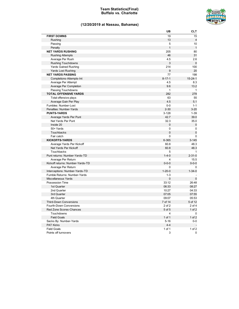### **Team Statistics(Final) Buffalo vs. Charlotte**



### **(12/20/2019 at Nassau, Bahamas)**

|                                  | UB           | <b>CLT</b>     |
|----------------------------------|--------------|----------------|
| <b>FIRST DOWNS</b>               | 19           | 15             |
| Rushing                          | 13           | $\overline{4}$ |
| Passing                          | 5            | 10             |
| Penalty                          | $\mathbf{1}$ | $\mathbf{1}$   |
| <b>NET YARDS RUSHING</b>         | 205          | 80             |
| <b>Rushing Attempts</b>          | 46           | 31             |
| Average Per Rush                 | 4.5          | 2.6            |
| <b>Rushing Touchdowns</b>        | 3            | $\mathbf 0$    |
| <b>Yards Gained Rushing</b>      | 214          | 100            |
| <b>Yards Lost Rushing</b>        | 9            | 20             |
| <b>NET YARDS PASSING</b>         | 77           | 198            |
| Completions-Attempts-Int         | $8 - 17 - 1$ | $15 - 24 - 1$  |
| Average Per Attempt              | 4.5          | 8.3            |
| Average Per Completion           | 9.6          | 13.2           |
| Passing Touchdowns               | $\mathbf{1}$ | $\mathbf{1}$   |
| <b>TOTAL OFFENSIVE YARDS</b>     | 282          | 278            |
| Total offensive plays            | 63           | 55             |
| Average Gain Per Play            | 4.5          | 5.1            |
| Fumbles: Number-Lost             | $0-0$        | $1 - 1$        |
| Penalties: Number-Yards          | $2 - 30$     | $3 - 20$       |
| <b>PUNTS-YARDS</b>               | $3 - 128$    | $1 - 39$       |
| Average Yards Per Punt           | 42.7         | 39.0           |
| Net Yards Per Punt               | 32.3         | 35.0           |
| Inside 20                        | 0            | 0              |
| 50+ Yards                        | 0            | 0              |
| Touchbacks                       | $\mathbf 0$  | $\mathbf 0$    |
| Fair catch                       | 0            | $\mathbf 0$    |
| <b>KICKOFFS-YARDS</b>            | 6-365        | $3 - 145$      |
| Average Yards Per Kickoff        | 60.8         | 48.3           |
| Net Yards Per Kickoff            | 60.8         | 48.3           |
| Touchbacks                       | 5            | $\mathbf{1}$   |
| Punt returns: Number-Yards-TD    | $1 - 4 - 0$  | $2 - 31 - 0$   |
| Average Per Return               | 4            | 15.5           |
| Kickoff returns: Number-Yards-TD | $0 - 0 - 0$  | $0 - 0 - 0$    |
| Average Per Return               | 0            | 0              |
| Interceptions: Number-Yards-TD   | $1 - 20 - 0$ | $1 - 34 - 0$   |
| Fumble Returns: Number-Yards     | $1 - 3$      |                |
| <b>Miscellaneous Yards</b>       | 0            | $\mathbf 0$    |
| Possession Time                  | 33:12        | 26:48          |
| 1st Quarter                      | 06:33        | 08:27          |
| 2nd Quarter                      | 10:27        | 04:33          |
| 3rd Quarter                      | 07:05        | 07:55          |
| 4th Quarter                      | 09:07        | 05:53          |
| <b>Third-Down Conversions</b>    | 7 of 14      | 5 of 12        |
| Fourth-Down Conversions          | 2 of 2       | 2 of 4         |
| Red Zone Scores-Chances          | 5 of 5       | $1$ of $2$     |
| Touchdowns                       | 4            | 0              |
| <b>Field Goals</b>               | 1 of 1       | $1$ of $2$     |
| Sacks By: Number-Yards           | $5 - 16$     | 0-0            |
| <b>PAT Kicks</b>                 | $4 - 4$      | $\sim$         |
| <b>Field Goals</b>               | 1 of 1       | 1 of $2$       |
| Points off turnovers             | 3            | 0              |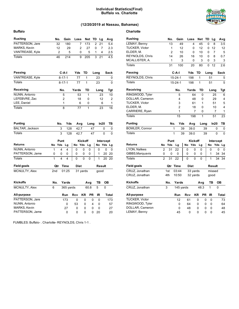### **Individual Statistics(Final) Buffalo vs. Charlotte**



### **(12/20/2019 at Nassau, Bahamas)**

| Buffalo             |     |     |              |           |        |             |            |           |                |           |    |        |
|---------------------|-----|-----|--------------|-----------|--------|-------------|------------|-----------|----------------|-----------|----|--------|
| <b>Rushing</b>      |     | No. |              | Gain      | Loss   |             | <b>Net</b> |           | TD             | Lg        |    | Avg    |
| PATTERSON, Jare     |     | 32  |              | 180       |        | 7           | 173        |           | $\overline{2}$ | 21        |    | 5.4    |
| MARKS, Kevin        |     | 12  |              | 29        |        | 2           |            | 27        | 0              | 7         |    | 2.3    |
| VANTREASE, Kyle     |     | 2   |              | 5         |        | 0           |            | 5         | 1              | 4         |    | 2.5    |
| Totals              |     | 46  |              | 214       |        | 9           | 205        |           | 3              | 21        |    | 4.5    |
| <b>Passing</b>      |     |     | <b>C-A-I</b> |           | Yds    |             | TD         |           | Long           |           |    | Sack   |
| VANTREASE, Kyle     |     |     | $8 - 17 - 1$ |           |        | 77          | 1          |           |                | 23        |    | 0      |
| <b>Totals</b>       |     |     | $8 - 17 - 1$ |           |        | 77          | 1          |           |                | 23        |    | 0      |
| <b>Receiving</b>    |     |     | No.          |           | Yards  |             | TD         |           |                | Long      |    | Tgt    |
| NUNN, Antonio       |     |     | 5            |           |        | 53          |            | 1         |                | 23        |    | 10     |
| LEFEBVRE, Zac       |     |     | 2            |           |        | 18          |            | 0         |                | 12        |    | 2      |
| LEE, Daniel         |     |     | 1            |           |        | 6           |            | 0         |                | 6         |    | 1      |
| <b>Totals</b>       |     |     | 8            |           |        | 77          |            | 1         |                | 23        |    | 16     |
| <b>Punting</b>      |     | No. |              | Yds       |        | Avg         |            | Long      |                | In20      |    | ΤВ     |
| BALTAR, Jackson     |     |     | 3            | 128       |        | 42.7        |            |           | 47             |           | 0  | 0      |
| Totals              |     |     | 3            | 128       |        | 42.7        |            |           | 47             |           | 0  | 0      |
|                     |     |     | Punt         |           |        |             | Kickoff    |           |                | Intercept |    |        |
| <b>Returns</b>      | No  | Yds |              | Lg        | No Yds |             |            | Lg        |                | No        |    | Yds Lg |
| NUNN, Antonio       | 1   |     | 4            | 4         | 0      |             | 0          | 0         |                | 0         | 0  | 0      |
| PATTERSON, Jame     | 0   |     | 0            | 0         | 0      |             | 0          | 0         |                | 1         | 20 | 20     |
| <b>Totals</b>       | 1   |     | 4            | 4         | 0      |             | 0          | 0         |                | 1         | 20 | 20     |
| Field goals         |     | Qtr |              | Time      |        | <b>Dist</b> |            |           |                | Result    |    |        |
| MCNULTY, Alex       | 2nd |     |              | 01:25     |        |             | 31 yards   |           |                | good      |    |        |
| <b>Kickoffs</b>     | No. |     |              | Yards     |        |             |            | Avg       |                | TВ        | OВ |        |
| MCNULTY, Alex       | 6   |     |              | 365 yards |        |             |            | 60.8      |                | 5         | 0  |        |
| All-purpose         |     |     |              | Run       | Rcv    |             | ΚR         | <b>PR</b> |                | ΙR        |    | Total  |
| PATTERSON, Jare     |     |     |              | 173       | 0      |             | 0          |           | 0              | 0         |    | 173    |
| NUNN, Antonio       |     |     |              | 0         | 53     |             | 0          |           | 4              | 0         |    | 57     |
| <b>MARKS, Kevin</b> |     |     |              | 27        | 0      |             | 0          |           | 0              | 0         |    | 27     |
| PATTERSON, Jame     |     |     |              | 0         | 0      |             | 0          |           | 0              | 20        |    | 20     |

FUMBLES: Buffalo- . Charlotte- REYNOLDS, Chris 1-1 .

| <b>Charlotte</b>      |                |                |                |     |             |           |      |           |           |              |
|-----------------------|----------------|----------------|----------------|-----|-------------|-----------|------|-----------|-----------|--------------|
| <b>Rushing</b>        |                | No.            | Gain           |     | Loss        |           | Net  | TD        | Lg        | Avg          |
| LEMAY, Benny          |                | 13             | 49             |     |             | 4         | 45   | 0         | 8         | 3.5          |
| TUCKER, Victor        |                | 1              |                | 12  |             | 0         | 12   | 0         | 12        | 12           |
| ELDER, M.             |                | $\overline{2}$ | 10             |     |             | 0         | 10   | 0         | 7         | 5            |
| REYNOLDS, Chris       |                | 14             | 26             |     |             | 16        | 10   | 0         | 8         | 0.7          |
| MCALLISTER, A.        |                | 1              |                | 3   |             | 0         | 3    | 0         | 3         | 3            |
| <b>Totals</b>         |                | 31             | 100            |     |             | 20        | 80   | 0         | 12        | 2.6          |
| <b>Passing</b>        |                |                | C-A-I          |     | Yds         |           | TD   | Long      |           | Sack         |
| REYNOLDS, Chris       |                |                | $15 - 24 - 1$  |     | 198         |           | 1    |           | 51        | 5            |
| Totals                |                |                | $15 - 24 - 1$  |     | 198         |           | 1    |           | 51        | 5            |
| <b>Receiving</b>      |                |                | No.            |     | Yards       |           | TD   |           | Long      | Tgt          |
| RINGWOOD, Tyler       |                |                | 5              |     |             | 64        | 0    |           | 25        | 6            |
| DOLLAR, Cameron       |                |                | 4              |     |             | 48        | 0    |           | 29        | 4            |
| TUCKER, Victor        |                |                | 3              |     |             | 61        | 1    |           | 51        | 5            |
| ELDER, M.             |                |                | $\overline{2}$ |     |             | 18        | 0    |           | 10        | 4            |
| CARRIERE, Ryan        |                |                | 1              |     |             | 7         | 0    |           | 7         | 1            |
| <b>Totals</b>         |                |                | 15             |     |             | 198       | 1    |           | 51        | 23           |
| <b>Punting</b>        |                |                | No.            | Yds | Avg         |           | Long |           | ln20      | ΤВ           |
| <b>BOWLER, Connor</b> |                |                | 1              | 39  | 39.0        |           |      | 39        |           | 0<br>0       |
| <b>Totals</b>         |                |                | 1              | 39  | 39.0        |           |      | 39        |           | 0<br>0       |
|                       |                | Punt           |                |     |             | Kickoff   |      |           | Intercept |              |
| <b>Returns</b>        | No             | Yds            | Lg             |     | No          | Yds       | Lg   |           | No        | Yds<br>Lg    |
| LYON, Nafees          | 2              | 31             | 22             |     | 0           | 0         | 0    |           | 0         | 0<br>0       |
| GIBBS, Marquavis      | 0              | 0              | 0              |     | 0           | 0         | 0    |           | 1         | 34<br>34     |
| <b>Totals</b>         | $\overline{2}$ | 31             | 22             |     | 0           | 0         | 0    |           | 1         | 34<br>34     |
| Field goals           |                | Qtr            | Time           |     | <b>Dist</b> |           |      |           | Result    |              |
| CRUZ, Jonathan        |                | 1st            | 03:44          |     | 33 yards    |           |      |           | missed    |              |
| CRUZ, Jonathan        |                | 4th            | 10:50          |     | 32 yards    |           |      |           | good      |              |
| <b>Kickoffs</b>       |                | No.            | Yards          |     |             |           | Avg  |           | ΤВ        | ОВ           |
| CRUZ, Jonathan        |                | 3              | 145 yards      |     |             |           | 48.3 |           | 1         | 0            |
| All-purpose           |                |                | Run            |     | Rcv         | <b>KR</b> |      | <b>PR</b> | ΙR        | <b>Total</b> |
| <b>TUCKER, Victor</b> |                |                | 12             |     | 61          |           | 0    | 0         | 0         | 73           |
| RINGWOOD, Tyler       |                |                | 0              |     | 64          |           | 0    | 0         | 0         | 64           |
| DOLLAR, Cameron       |                |                | 0              |     | 48          |           | 0    | 0         | 0         | 48           |

LEMAY, Benny 45 0 0 0 0 45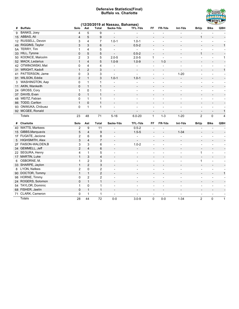### **Defensive Statistics(Final) Buffalo vs. Charlotte**



|    | (12/20/2019 at Nassau, Bahamas) |                |                    |                           |                                                      |                             |                                  |                                |                                            |                                                      |                                                      |                                          |  |
|----|---------------------------------|----------------|--------------------|---------------------------|------------------------------------------------------|-----------------------------|----------------------------------|--------------------------------|--------------------------------------------|------------------------------------------------------|------------------------------------------------------|------------------------------------------|--|
| #  | <b>Buffalo</b>                  | Solo           | Ast                | <b>Total</b>              | Sacks-Yds                                            | <b>TFL-Yds</b>              | FF                               | FR-Yds                         | Int-Yds                                    | <b>BrUp</b>                                          | <b>Blks</b>                                          | QBH                                      |  |
| 9  | BANKS, Joey                     | 4              | 5                  | 9                         |                                                      | $\overline{a}$              | $\blacksquare$                   |                                | $\blacksquare$                             | $\blacksquare$                                       |                                                      |                                          |  |
|    | 15 ABBAS, Ali                   | 4              | 5                  | 9                         |                                                      | $\overline{a}$              | $\qquad \qquad \blacksquare$     |                                |                                            | 1                                                    | $\qquad \qquad \blacksquare$                         |                                          |  |
|    | 12 RUSSELL, Devon               | 3              | $\overline{4}$     | $\overline{7}$            | $1.0 - 1$                                            | $1.0 - 1$                   | $\blacksquare$                   | $\overline{\phantom{a}}$       | $\blacksquare$                             | $\blacksquare$                                       | $\overline{\phantom{a}}$                             | $\overline{\phantom{a}}$                 |  |
|    | 49 RIGGINS, Taylor              | 3              | 3                  | 6                         | $\overline{a}$                                       | $0.5 - 2$                   | $\overline{\phantom{a}}$         | $\overline{a}$                 | $\overline{\phantom{a}}$                   | $\overline{\phantom{a}}$                             | $\overline{\phantom{a}}$                             | $\mathbf{1}$                             |  |
|    | 5A TERRY, Tim                   | 1              | 4                  | 5                         | $\overline{\phantom{a}}$                             | $\mathcal{L}_{\mathcal{A}}$ | $\overline{\phantom{a}}$         | $\overline{\phantom{a}}$       | $\overline{\phantom{a}}$                   | $\overline{\phantom{a}}$                             | $\blacksquare$                                       |                                          |  |
|    | 33 HILL, Tyrone                 | 0              | 5                  | 5                         | $\overline{a}$                                       | $0.5 - 2$                   | $\overline{a}$                   |                                |                                            | $\mathbf{1}$                                         | $\overline{\phantom{a}}$                             |                                          |  |
| 50 | KOONCE, Malcolm                 | 2              | 3                  | 5                         | $2.0 - 5$                                            | $2.0 - 5$                   | 1                                | $\overline{\phantom{a}}$       | $\blacksquare$                             | $\overline{\phantom{a}}$                             | $\overline{\phantom{a}}$                             | $\mathbf{1}$                             |  |
|    | 52 MACK, Ledarius               | $\mathbf{1}$   | 4                  | 5                         | $1.0 - 9$                                            | $1.0 - 9$                   | $\overline{\phantom{a}}$         | $1 - 3$                        |                                            |                                                      |                                                      |                                          |  |
|    | 42 OTWINOWSKI, Mat              | 0              | 4                  | 4                         | $\overline{\phantom{a}}$                             | $\overline{\phantom{a}}$    | $\overline{\phantom{a}}$         | $\overline{\phantom{a}}$       | $\overline{\phantom{a}}$                   | $\overline{\phantom{a}}$                             | $\qquad \qquad \blacksquare$                         |                                          |  |
|    | 31 WRIGHT, Kadofi               | $\mathbf{1}$   | $\overline{2}$     | 3                         |                                                      |                             |                                  |                                |                                            |                                                      |                                                      | $\mathbf{1}$                             |  |
| 41 | PATTERSON, Jame                 | 0              | 3                  | 3                         | $\blacksquare$                                       | $\overline{\phantom{a}}$    | $\overline{\phantom{a}}$         | $\overline{\phantom{a}}$       | $1 - 20$                                   | $\overline{\phantom{a}}$                             | $\overline{\phantom{a}}$                             |                                          |  |
|    | 91 WILSON, Eddie                | $\overline{2}$ | $\mathbf{1}$       | 3                         | $1.0 - 1$                                            | $1.0 - 1$                   | $\overline{\phantom{a}}$         | $\overline{\phantom{a}}$       | $\overline{\phantom{a}}$                   | $\overline{\phantom{a}}$                             | $\overline{\phantom{a}}$                             |                                          |  |
| 3  | WASHINGTON, Aap                 | 0              | $\mathbf{1}$       | $\mathbf{1}$              | $\overline{\phantom{a}}$                             | $\overline{\phantom{a}}$    | $\overline{\phantom{a}}$         | $\overline{\phantom{a}}$       | $\overline{\phantom{a}}$                   | $\overline{\phantom{a}}$                             | $\overline{\phantom{m}}$                             | $\overline{\phantom{a}}$                 |  |
|    | 11 AKIN, Wankeith               | 0              | $\mathbf{1}$       | $\mathbf{1}$              | $\overline{a}$                                       |                             | $\overline{\phantom{0}}$         | $\overline{\phantom{a}}$       |                                            | $\overline{\phantom{a}}$                             | $\overline{\phantom{a}}$                             |                                          |  |
| 24 | GROSS, Cory                     | $\mathbf{1}$   | 0                  | $\mathbf{1}$              | $\overline{\phantom{a}}$                             | $\overline{\phantom{a}}$    | $\blacksquare$                   | $\overline{\phantom{a}}$       | $\overline{a}$                             | $\blacksquare$                                       | $\overline{\phantom{a}}$                             |                                          |  |
|    | 37 DAVIS, Evan                  | 0              | $\mathbf{1}$       | $\mathbf{1}$              | $\overline{\phantom{a}}$                             | $\overline{\phantom{a}}$    | $\overline{\phantom{a}}$         |                                |                                            | $\overline{\phantom{a}}$                             | $\overline{\phantom{a}}$                             |                                          |  |
|    | 48 WEITZ, Fabian                | 0              | $\mathbf{1}$       | $\mathbf{1}$              | $\overline{a}$                                       | $\overline{a}$              | $\blacksquare$                   | $\overline{\phantom{a}}$       | $\overline{a}$                             | $\blacksquare$                                       | $\blacksquare$                                       |                                          |  |
|    | 86 TODD, Carlton                | $\mathbf{1}$   | $\mathbf 0$        | $\mathbf{1}$              | $\overline{\phantom{a}}$                             | $\overline{\phantom{a}}$    | $\overline{\phantom{a}}$         | $\overline{\phantom{a}}$       |                                            | $\overline{\phantom{a}}$                             | $\overline{\phantom{a}}$                             |                                          |  |
|    | 93 ONWUKA, Chibuez              | 0              | $\mathbf{1}$       | $\mathbf{1}$              | ÷,                                                   | Ĭ.                          | $\overline{\phantom{a}}$         | $\overline{a}$                 | $\overline{a}$                             | $\blacksquare$                                       | $\overline{\phantom{a}}$                             | $\overline{a}$                           |  |
|    | 92 MCGEE, Ronald                |                |                    |                           |                                                      |                             | $\overline{\phantom{a}}$         | $\overline{\phantom{a}}$       | $\overline{\phantom{a}}$                   | $\overline{\phantom{a}}$                             | $\qquad \qquad \blacksquare$                         | $\mathbf{1}$                             |  |
|    | <b>Totals</b>                   | 23             | 48                 | 71                        | $5 - 16$                                             | $6.0 - 20$                  | $\mathbf{1}$                     | $1 - 3$                        | $1 - 20$                                   | $\overline{2}$                                       | $\Omega$                                             | $\overline{4}$                           |  |
|    | # Charlotte                     | Solo           | Ast                | <b>Total</b>              | Sacks-Yds                                            | <b>TFL-Yds</b>              | FF                               | FR-Yds                         | Int-Yds                                    | <b>BrUp</b>                                          | <b>Blks</b>                                          | QBH                                      |  |
| 40 | <b>WATTS, Markees</b>           | $\overline{2}$ | 9                  | 11                        | $\blacksquare$                                       | $0.5 - 2$                   | $\overline{\phantom{a}}$         | $\blacksquare$                 | $\overline{a}$                             | $\blacksquare$                                       | $\overline{\phantom{a}}$                             |                                          |  |
|    | 15 GIBBS, Marquavis             | 5              | 4                  | 9                         |                                                      | $1.5 - 5$                   |                                  |                                | $1 - 34$                                   |                                                      |                                                      |                                          |  |
|    | 1F FUGATE, Jacione              | $\overline{2}$ | 6                  | 8                         | $\overline{a}$                                       | $\overline{a}$              | $\overline{a}$                   | $\overline{\phantom{a}}$       | $\overline{a}$                             | $\overline{\phantom{a}}$<br>$\overline{a}$           | $\overline{\phantom{a}}$                             | $\blacksquare$                           |  |
|    | HIGHSMITH, Alex                 | 3              | $\overline{4}$     | $\overline{7}$            | $\overline{\phantom{a}}$                             | ÷,                          | $\overline{\phantom{a}}$         | ÷,                             | $\overline{\phantom{a}}$                   |                                                      |                                                      |                                          |  |
| 5  | 2F FAISON-WALDEN,B              | 3              | 3                  | 6                         | $\overline{\phantom{a}}$                             | $1.0 - 2$                   | $\overline{\phantom{a}}$         | $\overline{\phantom{a}}$       | $\overline{\phantom{a}}$                   | $\overline{\phantom{a}}$<br>$\overline{\phantom{a}}$ | $\overline{\phantom{a}}$<br>$\blacksquare$           | $\blacksquare$                           |  |
|    | 34 GEMMELL, Jeff                | $\overline{2}$ | $\overline{4}$     | 6                         |                                                      | $\overline{a}$              |                                  |                                |                                            |                                                      |                                                      |                                          |  |
|    | 22 SEGURA, Henry                | 4              | $\mathbf{1}$       | 5                         | $\overline{\phantom{a}}$                             |                             | $\blacksquare$                   |                                | $\blacksquare$                             | $\mathbf{1}$                                         | $\overline{\phantom{a}}$<br>$\overline{\phantom{a}}$ | $\overline{\phantom{a}}$                 |  |
|    | 17 MARTIN, Luke                 | $\mathbf{1}$   | 3                  | $\overline{\mathbf{4}}$   |                                                      | $\overline{\phantom{a}}$    |                                  | $\overline{\phantom{a}}$       |                                            |                                                      |                                                      |                                          |  |
| 6  | OSBORNE, M.                     | $\mathbf{1}$   | 2                  | 3                         | $\qquad \qquad \blacksquare$                         | $\overline{\phantom{a}}$    |                                  |                                | $\blacksquare$                             | $\overline{\phantom{a}}$<br>$\mathbf{1}$             | $\overline{\phantom{a}}$                             |                                          |  |
|    | 33 SHARPE, Jaylon               | $\mathbf{1}$   | $\sqrt{2}$         | $\ensuremath{\mathsf{3}}$ | $\overline{\phantom{a}}$<br>$\overline{\phantom{0}}$ | $\overline{\phantom{a}}$    | $\overline{\phantom{a}}$         | $\overline{\phantom{a}}$<br>L, |                                            | $\blacksquare$                                       | $\overline{\phantom{a}}$                             | $\overline{\phantom{a}}$                 |  |
|    | 8 LYON, Nafees                  | $\overline{2}$ | $\mathbf 0$        | $\overline{2}$            |                                                      | $\overline{a}$              | $\blacksquare$                   |                                |                                            |                                                      | $\qquad \qquad \blacksquare$                         |                                          |  |
|    | 90 DOCTOR, Tommy                | $\mathbf{1}$   | $\mathbf{1}$       | $\overline{2}$            | $\overline{\phantom{a}}$                             | $\overline{\phantom{a}}$    | $\overline{\phantom{a}}$         | ÷,<br>÷,                       | $\blacksquare$<br>$\overline{\phantom{a}}$ | $\overline{\phantom{a}}$                             | $\overline{\phantom{a}}$                             | $\overline{\phantom{a}}$<br>$\mathbf{1}$ |  |
|    |                                 |                |                    |                           | $\overline{\phantom{a}}$                             |                             |                                  |                                |                                            | $\overline{\phantom{a}}$                             | $\qquad \qquad \blacksquare$                         |                                          |  |
|    |                                 |                |                    |                           |                                                      |                             |                                  | $\blacksquare$                 | $\overline{\phantom{a}}$                   |                                                      | $\overline{\phantom{a}}$                             |                                          |  |
|    | 98 HORNE, Timmy                 | 0              | $\overline{2}$     | $\overline{2}$            | $\overline{\phantom{a}}$                             | $\overline{\phantom{a}}$    | $\blacksquare$                   |                                |                                            | $\overline{\phantom{a}}$                             |                                                      |                                          |  |
|    | 24 ROGERS, Solomon              | $\mathbf 0$    | $\mathbf{1}$       | $\mathbf{1}$              | $\overline{a}$                                       |                             |                                  | ٠                              |                                            | $\overline{a}$                                       | $\overline{\phantom{a}}$                             |                                          |  |
|    | 54 TAYLOR, Dominic              | $\mathbf{1}$   | 0                  | $\mathbf 1$               | $\overline{\phantom{a}}$                             |                             | $\blacksquare$                   | ÷,                             | $\overline{a}$                             | $\blacksquare$                                       | $\blacksquare$                                       |                                          |  |
|    | 68 FISHER, Jaelin               | $\mathbf 0$    | $\mathbf{1}$       | $\mathbf{1}$              | ٠                                                    |                             |                                  |                                |                                            | $\overline{\phantom{a}}$                             | $\overline{\phantom{a}}$                             |                                          |  |
|    | 71 CLARK, Cameron<br>Totals     | 0<br>28        | $\mathbf{1}$<br>44 | 1<br>72                   | ٠<br>$0 - 0$                                         | $\overline{a}$<br>$3.0 - 9$ | $\blacksquare$<br>$\overline{0}$ | $0-0$                          | $1 - 34$                                   | $\blacksquare$<br>$\overline{2}$                     | $\overline{\phantom{a}}$<br>$\Omega$                 | $\mathbf{1}$                             |  |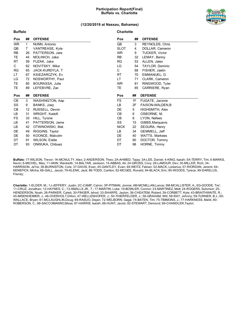### **Participation Report(Final) Buffalo vs. Charlotte**



### **(12/20/2019 at Nassau, Bahamas)**

**Charlotte**

| Pos       | ##             | <b>OFFENSE</b>  | Pos          | ## | <b>OFFENSE</b>        |
|-----------|----------------|-----------------|--------------|----|-----------------------|
| <b>WR</b> | 1.             | NUNN, Antonio   | QB           | 3  | REYNOLDS, Chris       |
| QB        | $\overline{7}$ | VANTREASE, Kyle | <b>SLOT</b>  | 4  | DOLLAR, Cameron       |
| <b>RB</b> | 26             | PATTERSON, Jare | WR.          | 9  | <b>TUCKER, Victor</b> |
| TE.       | 44             | MOLINICH, Jake  | RB           | 32 | LEMAY, Benny          |
| <b>RT</b> | 59             | FUZAK, Jake     | RG.          | 53 | ALLEN, Jalen          |
| C         | 62             | NOVITSKY, Mike  | LG           | 54 | TAYLOR, Dominic       |
| <b>RG</b> | 65             | JACK-KURDYLA, T | $\mathsf{C}$ | 68 | FISHER, Jaelin        |
| LT.       | 67             | KSIEZARCZYK, Ev | RT.          | 70 | EMMANUEL, D.          |
| LG        | 72             | NOSWORTHY, Paul | LT.          | 71 | CLARK, Cameron        |
| TE.       | 85             | BOURASSA, Julie | WR.          | 81 | RINGWOOD, Tyler       |
| TE        | 89             | LEFEBVRE, Zac   | TE           | 85 | CARRIERE, Ryan        |
|           |                |                 |              |    |                       |
|           |                |                 |              |    |                       |
| Pos       | ##             | <b>DEFENSE</b>  | Pos          | ## | <b>DEFENSE</b>        |
| CB        | 3              | WASHINGTON, Aap | <b>FS</b>    | 1F | FUGATE, Jacione       |
| SS        | 9              | BANKS, Joey     | LB           | 2F | FAISON-WALDEN, B      |
| CB        | 12             | RUSSELL, Devon  | DE           | 5  | HIGHSMITH, Alex       |
| LB        | 31             | WRIGHT, Kadofi  | CB           | 6  | OSBORNE, M.           |
| FS.       | 33             | HILL, Tyrone    | CB           | 8  | LYON, Nafees          |
| LB        | 41             | PATTERSON, Jame | SS           | 15 | GIBBS, Marguavis      |
| LB        | 42             | OTWINOWSKI, Mat | <b>NICK</b>  | 22 | SEGURA, Henry         |
| DE        | 49             | RIGGINS, Taylor | LB.          | 34 | GEMMELL, Jeff         |
| DE        | 50             | KOONCE, Malcolm | DE           | 40 | WATTS, Markees        |
| DT        | 91             | WILSON, Eddie   | DT           | 90 | DOCTOR, Tommy         |

**Buffalo:** 1T-WILSON, Trevor; 1K-MCNULTY, Alex; 2-ANDERSON, Theo; 2A-AHMED, Tajay; 3A-LEE, Daniel; 4-KING, Isaiah; 5A-TERRY, Tim; 5-MARKS, Kevin; 6-MICHEL, Max; 11-AKIN, Wankeith; 14-BALTAR, Jackson; 15-ABBAS, Ali; 24-GROSS, Cory; 28-LAMOUR, Dev; 30-MILLER, Rich; 34- HARRISON, Ja'Va; 36-BURNISTON, Cole; 37-DAVIS, Evan; 45-GANTLEY, Evan; 48-WEITZ, Fabian; 52-MACK, Ledarius; 57-RIORDAN, Jeremi; 64- KENEFICK, Micha; 66-GALL, Jacob; 79-KLENK, Jack; 86-TODD, Carlton; 92-MCGEE, Ronald; 94-BLACK, Eric; 95-WOODS, Tyrece; 99-DARELUS, Frendy;

**Charlotte:** 1-ELDER, M.; 1J-JEFFERY, Justin; 2C-CAMP, Calvin; 3P-PITMAN, Jonnie; 4M-MCMILLAN,Lance; 5M-MCALLISTER, A.; 6G-GOODE, Tre'; 11-CRUZ, Jonathan; 12-HAYNES, C.; 13-SMALLS JR., T.; 17-MARTIN, Luke; 19-BOWLER, Connor; 23-MARTINEZ, Matt; 24-ROGERS, Solomon; 25- HENDERSON, Noah; 26-PARKER, Caleb; 30-FINGER, Ishod; 33-SHARPE, Jaylon; 36-CHEATEM, Robert; 39-CORBETT, Kyle; 43-BRAITHWAITE, R.; 45-MISENHEIMER, J.; 46-OVERHOLT,Dillon; 47-WELLENHOFER, J.; 50-THIERFELDER, J.; 56-GRAHAM, Will; 58-RAY, Johnny; 59-TURNER, B.J.; 60- WALLACE, Bryan; 61-MCLAUGHLIN,Doug; 69-RASUO, Dejan; 72-WELBORN, Gage; 74-BATEN, Tim; 75-TIMMONS, J.; 77-HARKNESS, Malik; 80- ROBERSON, C.; 86-SACCOMANNO,Moss; 87-HARRIS, Isaiah; 88-HUNT, Jacob; 92-STEWART, Demond; 99-CHANDLER,Taylor;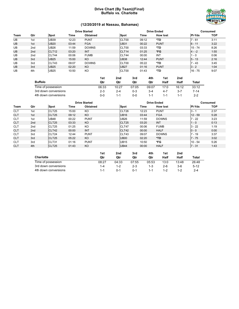### **Drive Chart (By Team)(Final) Buffalo vs. Charlotte**



### **(12/20/2019 at Nassau, Bahamas)**

|           |                 | <b>Drive Started</b> |       |                 |       |                   | <b>Drive Ended</b> |       |       |                 |       | Consumed      |            |  |
|-----------|-----------------|----------------------|-------|-----------------|-------|-------------------|--------------------|-------|-------|-----------------|-------|---------------|------------|--|
| Team      | Qtr             | Spot                 | Time  | <b>Obtained</b> |       | <b>Spot</b>       |                    | Time  |       | <b>How lost</b> |       | <b>PI-Yds</b> | <b>TOP</b> |  |
| UB        | 1st             | <b>UB39</b>          | 12:23 | <b>PUNT</b>     |       | CLT00             |                    | 09:12 |       | *TD             |       | $7 - 61$      | 3:11       |  |
| <b>UB</b> | 1st             | <b>UB20</b>          | 03:44 | <b>FGA</b>      |       | <b>UB31</b>       |                    | 00:22 |       | <b>PUNT</b>     |       | $6 - 11$      | 3:22       |  |
| UB        | 2nd             | <b>UB26</b>          | 11:59 | <b>DOWNS</b>    |       | CLT00             |                    | 03:33 |       | *TD             |       | $15 - 74$     | 8:26       |  |
| <b>UB</b> | 2 <sub>nd</sub> | CLT <sub>12</sub>    | 03:20 | <b>INT</b>      |       | CLT <sub>14</sub> |                    | 01:25 |       | *FG             |       | $4 - -2$      | 1:55       |  |
| UB        | 2nd             | CLT44                | 00:06 | <b>FUMB</b>     |       | CLT44             |                    | 00:00 |       | INT             |       | $1 - 0$       | 0:06       |  |
| <b>UB</b> | 3rd             | <b>UB25</b>          | 15:00 | KO              |       | <b>UB38</b>       |                    | 12:44 |       | <b>PUNT</b>     |       | $5 - 13$      | 2:16       |  |
| UB        | 3rd             | CLT43                | 09:07 | <b>DOWNS</b>    |       | CLT00             |                    | 05:22 |       | *TD             |       | $7 - 43$      | 3:45       |  |
| <b>UB</b> | 3rd             | <b>UB25</b>          | 02:20 | KO              |       | <b>UB27</b>       |                    | 01:16 |       | <b>PUNT</b>     |       | $3 - 2$       | 1:04       |  |
| UB        | 4th             | <b>UB25</b>          | 10:50 | KO              |       | CLT00             |                    | 01:43 |       | *TD             |       | $16 - 75$     | 9:07       |  |
|           |                 |                      |       |                 | 1st   | 2 <sub>nd</sub>   | 3rd                |       | 4th   | 1st             | 2nd   |               |            |  |
|           | <b>Buffalo</b>  |                      |       |                 | Qtr   | Qtr               | Qtr                |       | Qtr   | Half            | Half  | <b>Total</b>  |            |  |
|           |                 | Time of possession   |       |                 | 06:33 | 10:27             | 07:05              |       | 09:07 | 17:0            | 16:12 | 33:12         |            |  |

| Time of possession   | 06:33 | 10:27   | 0/05    | 09:07   | 1/10    | 16:12   | 33.12 |  |
|----------------------|-------|---------|---------|---------|---------|---------|-------|--|
| 3rd down conversions | $2-3$ | $2 - 4$ | $0 - 3$ | $3 - 4$ | 4-7     |         | 7-14  |  |
| 4th down conversions | ი-ი   | $1 - 1$ | $0 - 0$ | $1 - 1$ | $1 - 1$ | $1 - 1$ |       |  |
|                      |       |         |         |         |         |         |       |  |

|            |                 |                   |       | <b>Drive Started</b> |                   |       | <b>Drive Ended</b> | Consumed      |      |  |
|------------|-----------------|-------------------|-------|----------------------|-------------------|-------|--------------------|---------------|------|--|
| Team       | Qtr             | Spot              | Time  | <b>Obtained</b>      | Spot              | Time  | <b>How lost</b>    | <b>PI-Yds</b> | TOP  |  |
| <b>CLT</b> | 1st             | CLT <sub>25</sub> | 15:00 | KO                   | CLT26             | 12:23 | <b>PUNT</b>        | 3 -           | 2:37 |  |
| <b>CLT</b> | 1st             | CLT <sub>25</sub> | 09:12 | KO                   | <b>UB16</b>       | 03:44 | <b>FGA</b>         | $12 - 59$     | 5:28 |  |
| <b>CLT</b> | 1st             | <b>UB48</b>       | 00:22 | <b>PUNT</b>          | <b>UB26</b>       | 11:59 | <b>DOWNS</b>       | $7 - 22$      | 3:23 |  |
| <b>CLT</b> | 2 <sub>nd</sub> | CLT <sub>25</sub> | 03:33 | KO                   | CLT <sub>25</sub> | 03:20 | <b>INT</b>         | $1 - 0$       | 0:13 |  |
| <b>CLT</b> | 2 <sub>nd</sub> | CLT <sub>25</sub> | 01:25 | KO                   | CLT47             | 00:06 | <b>FUMB</b>        | $3 - 22$      | 1:19 |  |
| <b>CLT</b> | 2 <sub>nd</sub> | CLT42             | 00:00 | <b>INT</b>           | CLT42             | 00:00 | <b>HALF</b>        | $0 - 0$       | 0:00 |  |
| <b>CLT</b> | 3rd             | CLT24             | 12:44 | <b>PUNT</b>          | CLT43             | 09:07 | <b>DOWNS</b>       | $7 - 19$      | 3:37 |  |
| <b>CLT</b> | 3rd             | CLT <sub>25</sub> | 05:22 | KO                   | <b>UB00</b>       | 02:20 | *TD                | $7 - 75$      | 3:02 |  |
| <b>CLT</b> | 3rd             | CLT31             | 01:16 | <b>PUNT</b>          | <b>UB15</b>       | 10:50 | *FG                | $10 - 54$     | 5:26 |  |
| <b>CLT</b> | 4th             | CLT <sub>25</sub> | 01:43 | KO                   | <b>UB44</b>       | 00:00 | <b>HALF</b>        | $7 - 31$      | 1:43 |  |

|                      | 1st     | 2 <sub>nd</sub> | 3rd     | 4th   | 1st     | 2nd     |         |
|----------------------|---------|-----------------|---------|-------|---------|---------|---------|
| <b>Charlotte</b>     | Qtr     | Otr             | Qtr     | Qtr   | Half    | Half    | Total   |
| Time of possession   | 08:27   | 04:33           | 07:55   | 05:53 | 13:0    | 13:48   | 26:48   |
| 3rd down conversions | $1 - 4$ | 1-2             | $2 - 3$ | 1-3   | $2-6$   | $3-6$   | $5-12$  |
| 4th down conversions | $1 - 1$ | 0-1             | 0-1     | 1-1   | $1 - 2$ | $1 - 2$ | $2 - 4$ |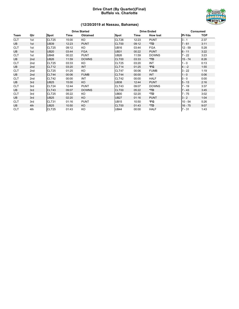### **Drive Chart (By Quarter)(Final) Buffalo vs. Charlotte**



### **(12/20/2019 at Nassau, Bahamas)**

|            |                 |                   |       | <b>Drive Started</b> |                   |       | <b>Drive Ended</b> |               | <b>Consumed</b> |
|------------|-----------------|-------------------|-------|----------------------|-------------------|-------|--------------------|---------------|-----------------|
| Team       | Qtr             | Spot              | Time  | Obtained             | Spot              | Time  | <b>How lost</b>    | <b>PI-Yds</b> | <b>TOP</b>      |
| <b>CLT</b> | 1st             | CLT25             | 15:00 | KO                   | CLT26             | 12:23 | <b>PUNT</b>        | $3 - 1$       | 2:37            |
| <b>UB</b>  | 1st             | <b>UB39</b>       | 12:23 | <b>PUNT</b>          | CLT00             | 09:12 | *TD                | $7 - 61$      | 3:11            |
| <b>CLT</b> | 1st             | CLT <sub>25</sub> | 09:12 | KO                   | <b>UB16</b>       | 03:44 | <b>FGA</b>         | $12 - 59$     | 5:28            |
| <b>UB</b>  | 1st             | <b>UB20</b>       | 03:44 | <b>FGA</b>           | <b>UB31</b>       | 00:22 | <b>PUNT</b>        | $6 - 11$      | 3:22            |
| <b>CLT</b> | 1st             | <b>UB48</b>       | 00:22 | <b>PUNT</b>          | <b>UB26</b>       | 11:59 | <b>DOWNS</b>       | $7 - 22$      | 3:23            |
| UB         | 2 <sub>nd</sub> | <b>UB26</b>       | 11:59 | <b>DOWNS</b>         | CLT00             | 03:33 | $*TD$              | $15 - 74$     | 8:26            |
| <b>CLT</b> | 2nd             | CLT <sub>25</sub> | 03:33 | KO                   | CLT <sub>25</sub> | 03:20 | INT                | $1 - 0$       | 0:13            |
| UB         | 2 <sub>nd</sub> | <b>CLT12</b>      | 03:20 | <b>INT</b>           | CLT <sub>14</sub> | 01:25 | *FG                | $4 - -2$      | 1:55            |
| <b>CLT</b> | 2nd             | CLT <sub>25</sub> | 01:25 | KO                   | CLT47             | 00:06 | <b>FUMB</b>        | $3 - 22$      | 1:19            |
| UB         | 2nd             | CLT44             | 00:06 | <b>FUMB</b>          | CLT44             | 00:00 | <b>INT</b>         | $1 - 0$       | 0:06            |
| <b>CLT</b> | 2nd             | CLT42             | 00:00 | INT                  | CLT42             | 00:00 | <b>HALF</b>        | $0 - 0$       | 0:00            |
| UB         | 3rd             | <b>UB25</b>       | 15:00 | KO                   | <b>UB38</b>       | 12:44 | <b>PUNT</b>        | $5 - 13$      | 2:16            |
| <b>CLT</b> | 3rd             | CLT24             | 12:44 | <b>PUNT</b>          | CLT43             | 09:07 | <b>DOWNS</b>       | $7 - 19$      | 3:37            |
| UB         | 3rd             | CLT43             | 09:07 | <b>DOWNS</b>         | CLT00             | 05:22 | *TD                | $7 - 43$      | 3:45            |
| <b>CLT</b> | 3rd             | CLT <sub>25</sub> | 05:22 | KO                   | <b>UB00</b>       | 02:20 | *TD                | $7 - 75$      | 3:02            |
| UB         | 3rd             | <b>UB25</b>       | 02:20 | KO                   | <b>UB27</b>       | 01:16 | <b>PUNT</b>        | $3 - 2$       | 1:04            |
| <b>CLT</b> | 3rd             | CLT31             | 01:16 | <b>PUNT</b>          | <b>UB15</b>       | 10:50 | *FG                | $10 - 54$     | 5:26            |
| UB         | 4th             | <b>UB25</b>       | 10:50 | KO                   | CLT00             | 01:43 | *TD                | $16 - 75$     | 9:07            |
| <b>CLT</b> | 4th             | CLT <sub>25</sub> | 01:43 | KO                   | <b>UB44</b>       | 00:00 | <b>HALF</b>        | $7 - 31$      | 1:43            |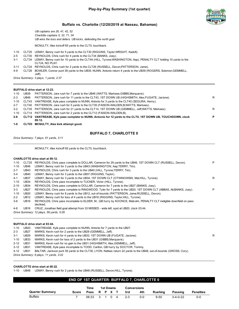

*UB captains are 26, 41, 42, 52 Charlotte captains 5, 32, 71, 34 UB wins the toss and defers. UB kicks, defending the north goal*

MCNULTY, Alex kickoff 65 yards to the CLT0, touchback.

- 1-10 CLT25 LEMAY, Benny rush for 5 yards to the CLT30 (RIGGINS, Taylor;WRIGHT, Kadofi).
- 2-5 CLT30 REYNOLDS, Chris rush for 4 yards to the CLT34 (BANKS, Joey).
- 3-1 CLT34 LEMAY, Benny rush for 10 yards to the CLT44 (HILL, Tyrone;WASHINGTON, Aap), PENALTY CLT holding 10 yards to the CLT24, NO PLAY.
- 3-11 CLT24 REYNOLDS, Chris rush for 2 yards to the CLT26 (RUSSELL, Devon;PATTERSON, Jame).
- 4-9 CLT26 BOWLER, Connor punt 39 yards to the UB35, NUNN, Antonio return 4 yards to the UB39 (ROGERS, Solomon;GEMMELL, Jeff).

*Drive Summary: 3 plays, 1 yards, 2:37*

### **BUFFALO drive start at 12:23.**

|          |             | 09:12.                                                                                                       |    |
|----------|-------------|--------------------------------------------------------------------------------------------------------------|----|
| $2 - 8$  |             | CLT12 VANTREASE, Kyle pass complete to NUNN, Antonio for 12 yards to the CLT0, 1ST DOWN UB, TOUCHDOWN, clock | P. |
| 1-10     |             | CLT14 PATTERSON, Jare rush for 2 yards to the CLT12 (FAISON-WALDEN, B).                                      |    |
| $3-2$    |             | CLT35 PATTERSON, Jare rush for 21 yards to the CLT14, 1ST DOWN UB (GEMMELL, Jeff; WATTS, Markees).           | R  |
| $2 - 7$  |             | CLT40 PATTERSON, Jare rush for 5 yards to the CLT35 (FAISON-WALDEN, B; WATTS, Markees).                      |    |
| 1-10     |             | CLT43 VANTREASE, Kyle pass complete to NUNN, Antonio for 3 yards to the CLT40 (SEGURA, Henry).               |    |
| $2 - 3$  | UB46        | PATTERSON, Jare rush for 11 yards to the CLT43, 1ST DOWN UB (HIGHSMITH, Alex;FUGATE, Jacione).               | R  |
| $1 - 10$ | <b>UB39</b> | PATTERSON, Jare rush for 7 yards to the UB46 (WATTS, Markees; GIBBS, Marguavis).                             |    |
|          |             |                                                                                                              |    |

**1-0 CLT03 MCNULTY, Alex kick attempt good.**

### **BUFFALO 7, CHARLOTTE 0**

*Drive Summary: 7 plays, 61 yards, 3:11*

MCNULTY, Alex kickoff 65 yards to the CLT0, touchback.

#### **CHARLOTTE drive start at 09:12.**

| $1 - 10$ | CLT <sub>25</sub> | REYNOLDS, Chris pass complete to DOLLAR, Cameron for 29 yards to the UB46, 1ST DOWN CLT (RUSSELL, Devon).                        | P |
|----------|-------------------|----------------------------------------------------------------------------------------------------------------------------------|---|
| $1 - 10$ | UB46              | LEMAY, Benny rush for 3 yards to the UB43 (WASHINGTON, Aap;TERRY, Tim).                                                          |   |
| $2 - 7$  | UB43              | REYNOLDS, Chris rush for 3 yards to the UB40 (HILL, Tyrone; TERRY, Tim).                                                         |   |
| $3 - 4$  | UB40              | LEMAY, Benny rush for 3 yards to the UB37 (RIGGINS, Taylor).                                                                     |   |
| $4 - 1$  | <b>UB37</b>       | LEMAY, Benny rush for 3 yards to the UB34, 1ST DOWN CLT (OTWINOWSKI, Mat; HILL, Tyrone).                                         | R |
| $1 - 10$ | <b>UB34</b>       | REYNOLDS, Chris pass incomplete to TUCKER, Victor (HILL, Tyrone).                                                                |   |
| $2 - 10$ | <b>UB34</b>       | REYNOLDS, Chris pass complete to DOLLAR, Cameron for 7 yards to the UB27 (BANKS, Joey).                                          |   |
| $3 - 3$  | <b>UB27</b>       | REYNOLDS, Chris pass complete to RINGWOOD, Tyler for 7 yards to the UB20, 1ST DOWN CLT (ABBAS, Ali;BANKS, Joey).                 | P |
| $1 - 10$ | <b>UB20</b>       | LEMAY, Benny rush for 8 yards to the UB12, out-of-bounds (PATTERSON, Jame;RUSSELL, Devon).                                       |   |
| $2 - 2$  | <b>UB12</b>       | LEMAY, Benny rush for loss of 4 yards to the UB16 (RIGGINS, Taylor; HILL, Tyrone).                                               |   |
| $3-6$    | <b>UB16</b>       | REYNOLDS, Chris pass incomplete to ELDER, M., QB hurry by KOONCE, Malcolm, PENALTY CLT ineligible downfield on pass<br>declined. |   |
| 4-6      | <b>UB16</b>       | CRUZ, Jonathan field goal attempt from 33 MISSED - wide left, spot at UB20, clock 03:44.                                         |   |
|          |                   | Drive Summary: 12 plays, 59 yards, 5:28                                                                                          |   |
|          |                   |                                                                                                                                  |   |

#### **BUFFALO drive start at 03:44.**

| 1-10    | <b>UB20</b> | VANTREASE, Kyle pass complete to NUNN, Antonio for 7 yards to the UB27.                                            |   |
|---------|-------------|--------------------------------------------------------------------------------------------------------------------|---|
| $2 - 3$ | <b>UB27</b> | MARKS, Kevin rush for 2 yards to the UB29 (GEMMELL, Jeff).                                                         |   |
| 3-1     | <b>UB29</b> | MARKS, Kevin rush for 4 yards to the UB33, 1ST DOWN UB (FUGATE, Jacione).                                          | R |
| 1-10    | UB33        | MARKS, Kevin rush for loss of 2 yards to the UB31 (GIBBS, Marguavis).                                              |   |
|         | 2-12 UB31   | MARKS, Kevin rush for no gain to the UB31 (HIGHSMITH, Alex; GEMMELL, Jeff).                                        |   |
|         | 3-12 UB31   | VANTREASE, Kyle pass incomplete to TODD, Carlton, QB hurry by DOCTOR, Tommy.                                       |   |
|         | 4-12 UB31   | BALTAR, Jackson punt 39 yards to the CLT30, LYON, Nafees return 22 yards to the UB48, out-of-bounds (GROSS, Cory). |   |
|         |             | Drive Summary: 6 plays, 11 yards, 3:22                                                                             |   |

#### **CHARLOTTE drive start at 00:22.**

1-10 UB48 LEMAY, Benny rush for 2 yards to the UB46 (RUSSELL, Devon;HILL, Tyrone).

### **END OF 1ST QUARTER: BUFFALO 7, CHARLOTTE 0**

|                        |       | Time         | <b>1st Downs</b> |  | <b>Conversions</b> |         |         |                |            |                  |
|------------------------|-------|--------------|------------------|--|--------------------|---------|---------|----------------|------------|------------------|
| <b>Quarter Summary</b> | Score | Poss R P X T |                  |  |                    | 3rd     | 4th     | <b>Rushing</b> | Passing    | <b>Penalties</b> |
| <b>Buffalo</b>         |       | 06:33        | 3 1 0            |  | $\overline{4}$     | $2 - 3$ | $0 - 0$ | $9 - 50$       | $3-4-0-22$ | 0-0              |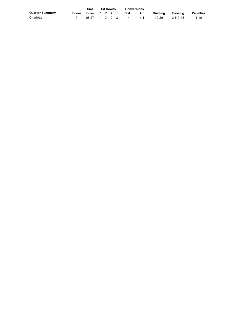|                 |       | <b>Time</b>  |  | <b>1st Downs</b> |         | <b>Conversions</b> |     |           |                  |                  |  |
|-----------------|-------|--------------|--|------------------|---------|--------------------|-----|-----------|------------------|------------------|--|
| Quarter Summary | Score | Poss R P X T |  |                  |         | -3rd               | 4th | Rushina   | Passing          | <b>Penalties</b> |  |
| Charlotte       |       | 08:27        |  |                  | 1 2 0 3 | 1-4                |     | $10 - 29$ | $3 - 5 - 0 - 43$ | $1 - 10$         |  |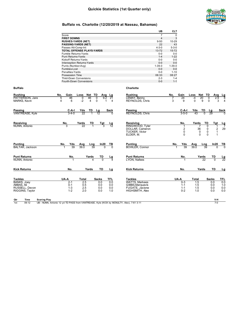

|                                             |                                                                                          | UB                                       | <b>CLT</b>            |                          |                   |                        |
|---------------------------------------------|------------------------------------------------------------------------------------------|------------------------------------------|-----------------------|--------------------------|-------------------|------------------------|
|                                             | Score                                                                                    | $\overline{7}$                           | $\Omega$              |                          |                   |                        |
|                                             | <b>FIRST DOWNS</b>                                                                       | $\overline{4}$                           | 3                     |                          |                   |                        |
|                                             | <b>RUSHES-YARDS (NET)</b>                                                                | $9 - 50$                                 | 10-29                 |                          |                   |                        |
|                                             | <b>PASSING-YARDS (NET)</b>                                                               | 22                                       | 43                    |                          |                   |                        |
|                                             | Passes Att-Comp-Int                                                                      | $4 - 3 - 0$                              | $5 - 3 - 0$           |                          |                   |                        |
|                                             | TOTAL OFFENSE PLAYS-YARDS                                                                | 13-72                                    | 15-72                 |                          |                   |                        |
|                                             | Fumble Retums-Yards                                                                      | $0-0$<br>$1-4$                           | $0-0$<br>$1 - 22$     |                          |                   |                        |
|                                             | Punt Returns-Yards<br>Kickoff Returns-Yards                                              | $0-0$                                    | $0-0$                 |                          |                   |                        |
|                                             | Interception Returns-Yards                                                               | $0-0$                                    | $0-0$                 |                          |                   |                        |
|                                             | Punts (Number-Avg)                                                                       | 1-39.0                                   | $1 - 39.0$            |                          |                   |                        |
|                                             | Fumbles-Lost                                                                             | $0-0$                                    | $0-0$                 |                          |                   |                        |
|                                             | Penalties-Yards                                                                          | $0-0$                                    | $1 - 10$              |                          |                   |                        |
|                                             | Possession Time                                                                          | 06:33                                    | 08:27                 |                          |                   |                        |
|                                             | Third-Down Conversions                                                                   | $2 - 3$                                  | $1 - 4$               |                          |                   |                        |
|                                             | Fourth-Down Conversions                                                                  | $0-0$                                    | $1 - 1$               |                          |                   |                        |
| Buffalo                                     |                                                                                          | Charlotte                                |                       |                          |                   |                        |
| Rushing                                     | Gain<br>Net TD<br>No.<br>Loss<br>Avg Lg                                                  | <b>Rushing</b>                           | Gain<br>No.           | Net TD<br>Loss           | Avg               | <u>Lg</u>              |
| PATTERSON, Jare                             | 46<br>46<br>9.2<br>5<br>0<br>0<br>21                                                     | LEMAY, Benny                             | 24                    | 20<br>-4                 | 0<br>2.9          | 8                      |
| MARKS, Kevin                                | $-2$<br>4<br>$\overline{4}$<br>0<br>6<br>1<br>$\overline{4}$                             | REYNOLDS, Chris                          | 3<br>9                | 0<br>9                   | 0<br>3            | $\overline{4}$         |
| Passing                                     | TD<br>C-A-I<br>Yds<br>Lg<br>Sack                                                         | Passing                                  | C-A-I                 | Yds<br>TD                | Lg                | Sack                   |
| VANTREASE, Kyle                             | 22<br>$3 - 4 - 0$<br>-1<br>12                                                            | REYNOLDS, Chris                          | $3 - 5 - 0$           | $\Omega$<br>43           | 29                |                        |
|                                             |                                                                                          |                                          |                       |                          |                   |                        |
| Receiving                                   | No.<br>Yards<br>TD<br><u>Tgt</u><br>Lg                                                   | Receiving                                | No.                   | TD<br>Yards              | Tgt               | Lg                     |
| NUNN, Antonio                               | 22                                                                                       | RINGWOOD, Tyler                          | 1                     | 0                        |                   |                        |
|                                             |                                                                                          | DOLLAR, Cameron<br><b>TUCKER, Victor</b> | $\overline{2}$<br>0   | 36<br>0<br>0<br>0        | 2<br>$\mathbf{1}$ | 29                     |
|                                             |                                                                                          | ELDER, M.                                | $\Omega$              | $\Omega$<br>$\Omega$     | $\mathbf 1$       |                        |
|                                             |                                                                                          |                                          |                       |                          |                   |                        |
| Punting<br>BALTAR, Jackson                  | Yds<br>In20<br>No.<br>Avg<br>Lng<br>TВ<br>39<br>39.0<br>39<br>$\Omega$<br>$\Omega$       | Punting<br><b>BOWLER, Connor</b>         | Yds<br>No.<br>39<br>1 | Avg<br>Lng<br>39.0<br>39 | ln20              | $\frac{TB}{0}$         |
|                                             |                                                                                          |                                          |                       |                          |                   |                        |
| Punt R <u>eturns</u>                        | No.<br>Yards<br>TD<br>Lg                                                                 | <b>Punt Returns</b>                      | No.                   | Yards                    | TD                |                        |
| NUNN, Antonio                               | 4<br>$\Omega$<br>4<br>1                                                                  | LYON, Nafees                             | -1                    | 22                       | $\Omega$          | $\frac{\text{Lg}}{22}$ |
|                                             |                                                                                          |                                          |                       |                          |                   |                        |
| Kick Returns                                | No.<br>Yards<br>TD<br>Lg                                                                 | <b>Kick Returns</b>                      | No.                   | Yards                    | TD                | Lg                     |
| Tackles                                     | UA-A<br>TFL<br>Total<br>Sacks                                                            | <b>Tackles</b>                           | UA-A                  | Total                    | Sacks             | <b>TFL</b>             |
| <b>BANKS, Joev</b>                          | 2.5<br>$2 - 1$<br>0.0<br>0.0                                                             | <b>WATTS, Markees</b>                    | $0 - 3$               | 1.5                      | 0.0               | 0.0                    |
| ABBAS, Ali                                  | 0-1<br>0.5<br>0.0<br>0.0                                                                 | GIBBS, Marguavis                         | $1 - 1$               | 1.5                      | 0.0               | 1.0                    |
| RUSSELL, Devon                              | $1 - 3$<br>2.5<br>0.0<br>0.0                                                             | FUGATE, Jacione                          | $1 - 1$               | 1.5                      | 0.0               | 0.0                    |
| RIGGINS, Taylor                             | $1 - 2$<br>2.0<br>0.0<br>1.0                                                             | HIGHSMITH, Alex                          | $0 - 2$               | 1.0                      | 0.0               | 0.0                    |
| Qtr                                         |                                                                                          |                                          |                       |                          | V-H               |                        |
| Time<br><b>Scoring Play</b><br>1st<br>09:12 | UB - NUNN, Antonio 12 yd TD PASS from VANTREASE, Kyle (KICK by MCNULTY, Alex), 7-61 3:11 |                                          |                       |                          | $7-0$             |                        |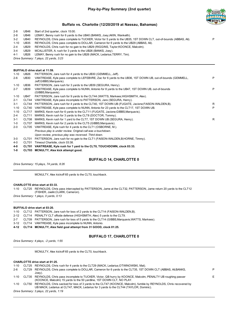

2-8 UB46 Start of 2nd quarter, clock 15:00. 2-8 UB46 LEMAY, Benny rush for 6 yards to the UB40 (BANKS, Joey;AKIN, Wankeith). 3-2 UB40 REYNOLDS, Chris pass complete to TUCKER, Victor for 5 yards to the UB35, 1ST DOWN CLT, out-of-bounds (ABBAS, Ali). P 1-10 UB35 REYNOLDS, Chris pass complete to DOLLAR, Cameron for 6 yards to the UB29 (ABBAS, Ali). 2-4 UB29 REYNOLDS, Chris rush for no gain to the UB29 (RIGGINS, Taylor;KOONCE, Malcolm). 3-4 UB29 MCALLISTER, A. rush for 3 yards to the UB26 (BANKS, Joey). 4-1 UB26 LEMAY, Benny rush for no gain to the UB26 (MACK, Ledarius;TERRY, Tim). *Drive Summary: 7 plays, 22 yards, 3:23*

### **BUFFALO drive start at 11:59.**

| $1 - 10$ | <b>UB26</b>       | PATTERSON, Jare rush for 4 yards to the UB30 (GEMMELL, Jeff).                                                                          |    |
|----------|-------------------|----------------------------------------------------------------------------------------------------------------------------------------|----|
| $2 - 6$  | <b>UB30</b>       | VANTREASE, Kyle pass complete to LEFEBVRE, Zac for 6 yards to the UB36, 1ST DOWN UB, out-of-bounds (GEMMELL,<br>Jeff;GIBBS,Marguavis). | P  |
| $1 - 10$ | <b>UB36</b>       | PATTERSON, Jare rush for 3 yards to the UB39 (SEGURA, Henry).                                                                          |    |
| $2 - 7$  | <b>UB39</b>       | VANTREASE, Kyle pass complete to NUNN, Antonio for 8 yards to the UB47, 1ST DOWN UB, out-of-bounds<br>(GIBBS, Marquavis).              | P  |
| 1-10     | UB47              | PATTERSON, Jare rush for 9 yards to the CLT44 (WATTS, Markees; HIGHSMITH, Alex).                                                       |    |
| $2 - 1$  | CLT44             | VANTREASE, Kyle pass incomplete to PATTERSON, Jare (SEGURA, Henry).                                                                    |    |
| $3 - 1$  | CLT44             | PATTERSON, Jare rush for 4 yards to the CLT40, 1ST DOWN UB (FUGATE, Jacione; FAISON-WALDEN, B).                                        | R. |
| $1 - 10$ | CLT40             | VANTREASE, Kyle pass complete to NUNN, Antonio for 23 yards to the CLT17, 1ST DOWN UB.                                                 | P  |
| $1 - 10$ | CLT <sub>17</sub> | MARKS, Kevin rush for 6 yards to the CLT11 (FUGATE, Jacione; GIBBS, Marquavis).                                                        |    |
| $2 - 4$  | CLT <sub>11</sub> | MARKS, Kevin rush for 3 yards to the CLT8 (DOCTOR, Tommy).                                                                             |    |
| $3 - 1$  | CLT08             | MARKS, Kevin rush for 1 yard to the CLT7, 1ST DOWN UB (SEGURA, Henry).                                                                 | R  |
| $1 - 0$  | CLT07             | MARKS, Kevin rush for 2 yards to the CLT5 (GIBBS, Marguavis).                                                                          |    |
| $2 - 0$  | CLT05             | VANTREASE, Kyle rush for 4 yards to the CLT1 (OSBORNE, M.).                                                                            |    |
|          |                   | Previous play is under review. Original call was a touchdown.                                                                          |    |
|          |                   | Upon review, previous play was reversed. Third down.                                                                                   |    |
| $3-0$    | CLT01             | PATTERSON, Jare rush for no gain to the CLT1 (FAISON-WALDEN, B; HORNE, Timmy).                                                         |    |
| 4-0      | CLT01             | Timeout Charlotte, clock 03:38.                                                                                                        |    |

- 
- **4-0 CLT01 VANTREASE, Kyle rush for 1 yard to the CLT0, TOUCHDOWN, clock 03:33.**
- **1-0 CLT03 MCNULTY, Alex kick attempt good.**

### **BUFFALO 14, CHARLOTTE 0**

*Drive Summary: 15 plays, 74 yards, 8:26*

MCNULTY, Alex kickoff 65 yards to the CLT0, touchback.

### **CHARLOTTE drive start at 03:33.**

1-10 CLT25 REYNOLDS, Chris pass intercepted by PATTERSON, Jame at the CLT32, PATTERSON, Jame return 20 yards to the CLT12 (FISHER, Jaelin;CLARK, Cameron).

*Drive Summary: 1 plays, 0 yards, 0:13*

### **BUFFALO drive start at 03:20.**

|  | 1-10 CLT12 PATTERSON, Jare rush for loss of 2 yards to the CLT14 (FAISON-WALDEN, B).                |
|--|-----------------------------------------------------------------------------------------------------|
|  | 2-12 CLT14 PENALTY CLT offside defense (HIGHSMITH, Alex) 5 yards to the CLT9.                       |
|  | 2-7 CLT09 PATTERSON, Jare rush for loss of 5 yards to the CLT14 (GIBBS, Marguavis; WATTS, Markees). |
|  | 3-12 CLT14 VANTREASE. Kyle pass incomplete to NUNN, Antonio.                                        |
|  | 4-12 CLT14 MCNULTY, Alex field goal attempt from 31 GOOD, clock 01:25.                              |
|  |                                                                                                     |

### **BUFFALO 17, CHARLOTTE 0**

*Drive Summary: 4 plays, -2 yards, 1:55*

MCNULTY, Alex kickoff 65 yards to the CLT0, touchback.

#### **CHARLOTTE drive start at 01:25.**

| 1-10    | CLT25 REYNOLDS, Chris rush for 4 yards to the CLT29 (MACK, Ledarius; OTWINOWSKI, Mat).                                  |    |
|---------|-------------------------------------------------------------------------------------------------------------------------|----|
| $2 - 6$ | CLT29 REYNOLDS, Chris pass complete to DOLLAR, Cameron for 6 yards to the CLT35, 1ST DOWN CLT (ABBAS, Ali;BANKS,        | P  |
|         | Joev).                                                                                                                  |    |
| 1-10    | CLT35 REYNOLDS, Chris pass incomplete to TUCKER, Victor, QB hurry by KOONCE, Malcolm, PENALTY UB roughing passer        | E. |
|         | (KOONCE, Malcolm) 15 yards to the 50 yardline, 1ST DOWN CLT, NO PLAY.                                                   |    |
| 1-10    | CLT50 REYNOLDS, Chris sacked for loss of 3 yards to the CLT47 (KOONCE, Malcolm), fumble by REYNOLDS, Chris recovered by |    |
|         | UB MACK, Ledarius at CLT47, MACK, Ledarius for 3 yards to the CLT44 (TAYLOR, Dominic).                                  |    |
|         | Drive Summary: 3 plays, 22 yards, 1:19                                                                                  |    |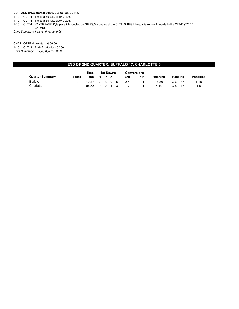### **BUFFALO drive start at 00:06, UB ball on CLT44.**

1-10 CLT44 Timeout Buffalo, clock 00:06.

1-10 CLT44 Timeout Buffalo, clock 00:06.

1-10 CLT44 VANTREASE, Kyle pass intercepted by GIBBS,Marquavis at the CLT8, GIBBS,Marquavis return 34 yards to the CLT42 (TODD, Carlton).

*Drive Summary: 1 plays, 0 yards, 0:06*

### **CHARLOTTE drive start at 00:00.**

1-10 CLT42 End of half, clock 00:00. *Drive Summary: 0 plays, 0 yards, 0:00*

### **END OF 2ND QUARTER: BUFFALO 17, CHARLOTTE 0**

|                        | Time<br>1st Downs |                     |  |  | Conversions |     |         |          |                  |                  |
|------------------------|-------------------|---------------------|--|--|-------------|-----|---------|----------|------------------|------------------|
| <b>Quarter Summary</b> | Score             | Poss R P X T        |  |  |             | 3rd | 4th     | Rushina  | Passing          | <b>Penalties</b> |
| <b>Buffalo</b>         | 10                | $10:27$ 2 3 0 5 2-4 |  |  |             |     | $1 - 1$ | 13-30    | $3 - 6 - 1 - 37$ | $1 - 15$         |
| Charlotte              |                   | 04:33 0 2 1 3 1-2   |  |  |             |     | $0 - 1$ | $6 - 10$ | $3 - 4 - 1 - 17$ | $1 - 5$          |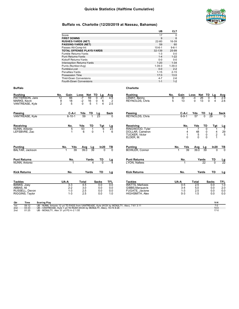

|                                  | UB           | CLT         |
|----------------------------------|--------------|-------------|
| Score                            | 17           | 0           |
| <b>FIRST DOWNS</b>               | 9            | 6           |
| <b>RUSHES-YARDS (NET)</b>        | 22-80        | 16-39       |
| <b>PASSING-YARDS (NET)</b>       | 59           | 60          |
| Passes Att-Comp-Int              | $10 - 6 - 1$ | $9 - 6 - 1$ |
| <b>TOTAL OFFENSE PLAYS-YARDS</b> | 32-139       | 25-99       |
| Fumble Retums-Yards              | $1 - 3$      | $0-0$       |
| Punt Returns-Yards               | $1 - 4$      | $1 - 22$    |
| Kickoff Returns-Yards            | $0 - 0$      | $0-0$       |
| Interception Returns-Yards       | $1 - 20$     | $1 - 34$    |
| Punts (Number-Avg)               | $1 - 39.0$   | $1 - 39.0$  |
| Fumbles-Lost                     | $0 - 0$      | $2 - 2$     |
| Penalties-Yards                  | $1 - 15$     | $2 - 15$    |
| Possession Time                  | 17:0         | 13:0        |
| <b>Third-Down Conversions</b>    | $4 - 7$      | $2 - 6$     |
| <b>Fourth-Down Conversions</b>   | $1 - 1$      | $1 - 2$     |

### **Buffalo Charlotte**

| Rushing<br>PATTERSON, Jare<br><b>MARKS, Kevin</b><br>VANTREASE, Kyle                    | Gain<br>No.<br>12<br>66<br>8<br>18<br>5<br>$\overline{2}$ | Net<br>Loss<br>59<br>-7<br>$\frac{16}{5}$<br>$-2$<br>$\Omega$   | TD<br>Lg<br>$\overline{21}$<br>$\Omega$<br>0<br>6<br>4 | Avg<br>4.9<br>$\overline{2}$<br>2.5    | Rushing<br>LEMAY, Benny<br>REYNOLDS, Chris                                                               | Gain<br>No.<br>$\frac{9}{5}$ | 30<br>13                                 | Loss<br>$-4$<br>$\mathbf 0$                                                 | TD<br>Net<br>$\overline{26}$<br>13               | Lg<br>0<br>8<br>$\mathbf 0$<br>4         | Avg<br>2.9<br>2.6                                              |
|-----------------------------------------------------------------------------------------|-----------------------------------------------------------|-----------------------------------------------------------------|--------------------------------------------------------|----------------------------------------|----------------------------------------------------------------------------------------------------------|------------------------------|------------------------------------------|-----------------------------------------------------------------------------|--------------------------------------------------|------------------------------------------|----------------------------------------------------------------|
| Passing<br>VANTREASE, Kyle                                                              | C-A-I<br>$6 - 10 - 1$                                     | TD<br>Yds<br>59                                                 | Lg<br>23                                               | Sack<br>$\Omega$                       | Passing<br>REYNOLDS, Chris                                                                               |                              | C-A-I<br>$6 - 9 - 1$                     | Yds<br>57                                                                   | TD<br>$\overline{0}$                             | Lg<br>29                                 | Sack<br>$\Omega$                                               |
| Receiving<br>NUNN. Antonio<br>LEFEBVRE, Zac                                             | No.<br>5<br>1                                             | Yds<br>TD<br>$\begin{array}{c} 53 \\ 6 \end{array}$<br>$\Omega$ | Tgt<br>$6\overline{6}$<br>$\overline{ }$               | $\frac{\text{Lg}}{23}$<br>6            | Receiving<br>RINGWOOD, Tyler<br>DOLLAR, Cameron<br><b>TUCKER. Victor</b><br>ELDER, M.                    |                              | No.<br>1<br>$\Omega$                     | Yds<br>$\overline{7}$<br>$\begin{array}{c} 48 \\ 5 \end{array}$<br>$\Omega$ | TD<br>$\mathbf{0}$<br>0<br>$\pmb{0}$<br>$\Omega$ | Tat<br>$\overline{1}$<br>$\frac{4}{2}$   | $\frac{Lg}{7}$<br>$\frac{29}{5}$                               |
| <b>Punting</b><br><b>BALTAR, Jackson</b>                                                | No.<br>Yds<br>39                                          | Avg<br>Lg<br>39.0<br>39                                         | ln20<br>$\Omega$                                       | $\frac{TB}{0}$                         | <b>Punting</b><br><b>BOWLER, Connor</b>                                                                  | No.                          | Yds<br>39                                | Avg<br>39.0                                                                 | Lg<br>39                                         | ln20<br>$\Omega$                         | $\frac{TB}{0}$                                                 |
| <b>Punt Returns</b><br>NUNN, Antonio                                                    | No.                                                       | Yards<br>4                                                      | TD<br>$\overline{0}$                                   | $\frac{Lg}{4}$                         | <b>Punt Returns</b><br>LYON, Nafees                                                                      |                              | No.                                      |                                                                             | Yards<br>22                                      | TD<br>$\overline{0}$                     | $\frac{\text{Lg}}{22}$                                         |
| <b>Kick Returns</b>                                                                     | No.                                                       | Yards                                                           | TD                                                     | Lg                                     | <b>Kick Returns</b>                                                                                      |                              | No.                                      |                                                                             | Yards                                            | <b>TD</b>                                | Lg                                                             |
| <b>Tackles</b><br><b>BANKS, Joey</b><br>ABBAS, Ali<br>RUSSELL, Devon<br>RIGGINS, Taylor | UA-A<br>$3 - 3$<br>$2 - 2$<br>$1 - 3$<br>$1 - 3$          | <b>Total</b><br>4.5<br>3.0<br>2.5<br>2.5                        | <b>Sacks</b><br>0.0<br>0.0<br>0.0<br>0.0               | <b>TFL</b><br>0.0<br>0.0<br>0.0<br>1.0 | <b>Tackles</b><br><b>WATTS, Markees</b><br>GIBBS, Marquavis<br><b>FUGATE, Jacione</b><br>HIGHSMITH, Alex | UA-A                         | $0 - 5$<br>$3 - 4$<br>$1 - 3$<br>$0 - 3$ | Total<br>2.5<br>5.0<br>2.5<br>1.5                                           |                                                  | <b>Sacks</b><br>0.0<br>0.0<br>0.0<br>0.0 | TFL<br>1.0<br>$\begin{array}{c} 2.0 \\ 0.0 \\ 0.0 \end{array}$ |
| <b>Scoring Play</b><br>Qtr<br>Time                                                      |                                                           |                                                                 |                                                        |                                        |                                                                                                          |                              |                                          |                                                                             |                                                  | $V-H$                                    |                                                                |

| ิษะแ |       | <b>OCOLING LIGY</b>                                                                      | .      |
|------|-------|------------------------------------------------------------------------------------------|--------|
| 1st  | 09:12 | UB - NUNN, Antonio 12 yd TD PASS from VANTREASE, Kyle (KICK by MCNULTY, Alex), 7-61 3:11 |        |
| 2nd  | 03:33 | UB - VANTREASE, Kyle 1 yd TD RUSH (KICK by MCNULTY, Alex), 15-74 8:26                    | $14-0$ |
| 2nd  | 01:25 | UB - MCNULTY, Alex 31 vd FG 4--2 1:55                                                    | $17-0$ |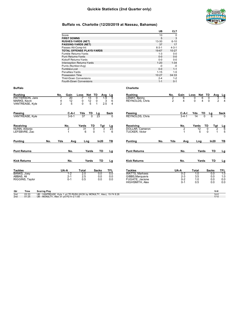### **Quickie Statistics (2nd Quarter only)**



### **Buffalo vs. Charlotte (12/20/2019 at Nassau, Bahamas)**

|                                   | UB          | <b>CLT</b>  |
|-----------------------------------|-------------|-------------|
| Score                             | 10          |             |
| <b>FIRST DOWNS</b>                | 5           | 3           |
| <b>RUSHES-YARDS (NET)</b>         | $13 - 30$   | $6 - 10$    |
| <b>PASSING-YARDS (NET)</b>        | 37          | 17          |
| Passes Att-Comp-Int               | $6 - 3 - 1$ | $4 - 3 - 1$ |
| <b>TOTAL OFFENSE PLAYS-YARDS</b>  | 19-67       | $10 - 27$   |
| Fumble Retums-Yards               | $1 - 3$     | $0 - 0$     |
| Punt Returns-Yards                | $0 - 0$     | $0 - 0$     |
| Kickoff Returns-Yards             | $0 - 0$     | $0 - 0$     |
| <b>Interception Returns-Yards</b> | $1 - 20$    | $1 - 34$    |
| Punts (Number-Avg)                | -0          | $-0$        |
| Fumbles-Lost                      | $0 - 0$     | $1 - 1$     |
| Penalties-Yards                   | $1 - 15$    | $1 - 5$     |
| Possession Time                   | 10:27       | 04:33       |
| <b>Third-Down Conversions</b>     | $2-4$       | $1 - 2$     |
| Fourth-Down Conversions           | $1 - 1$     | $0 - 1$     |

### **Buffalo Charlotte**

| <b>Rushing</b><br>PATTERSON, Jare<br>MARKS, Kevin<br>VANTREASE, Kyle           | No.<br>Gain<br>20<br>$\frac{12}{5}$<br>4<br>$\overline{2}$                                                     | Net<br>TD<br>Loss<br>$\overline{13}$<br>$-7$<br>$\frac{12}{5}$<br>0<br>0 | Avg<br>0<br>1.9<br>0<br>2.5       | Lg<br>9<br>3<br>6<br>$\overline{4}$ | <b>Rushing</b><br>LEMAY, Benny<br>REYNOLDS, Chris                                                 | No.<br>$\frac{2}{2}$ | Gain<br>6<br>4                                   | <b>Net</b><br>Loss<br>6<br>0<br>$\Omega$<br>$\overline{4}$ | TD<br>Avg<br>0<br>$\mathbf 0$            | $\frac{Lg}{6}$<br>3<br>$\overline{2}$<br>4 |
|--------------------------------------------------------------------------------|----------------------------------------------------------------------------------------------------------------|--------------------------------------------------------------------------|-----------------------------------|-------------------------------------|---------------------------------------------------------------------------------------------------|----------------------|--------------------------------------------------|------------------------------------------------------------|------------------------------------------|--------------------------------------------|
| Passing<br>VANTREASE, Kyle                                                     | C-A-I<br>$3 - 6 - 1$                                                                                           | Yds<br>TD<br>37<br>$\Omega$                                              | <u>Lg</u><br>23                   | <b>Sack</b><br>$\Omega$             | Passing<br><b>REYNOLDS, Chris</b>                                                                 |                      | C-A-I<br>$3 - 4 - 1$                             | Yds<br>14                                                  | TD<br>Lg<br>6<br>$\Omega$                | Sack<br>∩                                  |
| Receiving<br>NUNN, Antonio<br>LEFEBVRE. Zac                                    | No.<br>$\overline{2}$                                                                                          | TD<br>Yards<br>31<br>$\overline{0}$<br>6<br>0                            | Tgt<br>3                          | $\frac{\text{Lg}}{23}$<br>6         | Receiving<br><b>DOLLAR, Cameron</b><br><b>TUCKER. Victor</b>                                      |                      | No.<br>$\overline{2}$                            | Yards<br>$\frac{12}{5}$                                    | TD<br>Tgt<br>0<br>0                      | $\frac{Lg}{6}$<br>2<br>5                   |
| <b>Punting</b><br>No.                                                          | Yds<br>Avg                                                                                                     | Lng                                                                      | In20                              | ΤВ                                  | <b>Punting</b>                                                                                    | Yds<br>No.           | Avg                                              | Lng                                                        | In20                                     | TВ                                         |
| <b>Punt Returns</b>                                                            | No.                                                                                                            | Yards                                                                    | <b>TD</b>                         | Lg                                  | <b>Punt Returns</b>                                                                               |                      | No.                                              | Yards                                                      | <b>TD</b>                                | Lg                                         |
| <b>Kick Returns</b>                                                            | No.                                                                                                            | Yards                                                                    | <b>TD</b>                         | Lg                                  | <b>Kick Returns</b>                                                                               |                      | No.                                              | Yards                                                      | <b>TD</b>                                | Lg                                         |
| <b>Tackles</b><br><b>BANKS, Joey</b><br>ABBAS, Ali<br>RIGGINS, Taylor          | UA-A<br>$1 - 2$<br>$2 - 1$<br>$0 - 1$                                                                          | Total<br>2.0<br>2.5<br>0.5                                               | <b>Sacks</b><br>0.0<br>0.0<br>0.0 | TFL<br>0.0<br>0.0<br>0.0            | <b>Tackles</b><br><b>WATTS, Markees</b><br>GIBBS, Marquavis<br>FUGATE, Jacione<br>HIGHSMITH, Alex |                      | UA-A<br>$0 - 2$<br>$2 - 3$<br>$0 - 2$<br>$0 - 1$ | Total<br>1.0<br>3.5<br>1.0<br>0.5                          | <b>Sacks</b><br>0.0<br>0.0<br>0.0<br>0.0 | <b>TFL</b><br>1.0<br>1.0<br>0.0<br>0.0     |
| Time<br><b>Scoring Play</b><br>Qtr<br>2 <sub>nd</sub><br>03:33<br>01:25<br>2nd | UB - VANTREASE, Kyle 1 yd TD RUSH (KICK by MCNULTY, Alex), 15-74 8:26<br>UB - MCNULTY, Alex 31 yd FG 4--2 1:55 |                                                                          |                                   |                                     |                                                                                                   |                      |                                                  |                                                            | $V-H$<br>$14-0$<br>$17-0$                |                                            |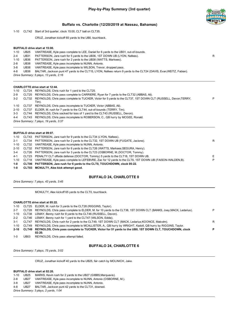

1-10 CLT42 Start of 3rd quarter, clock 15:00, CLT ball on CLT35.

CRUZ, Jonathan kickoff 65 yards to the UB0, touchback.

#### **BUFFALO drive start at 15:00.**

| 1-10    | UB25 | VANTREASE, Kyle pass complete to LEE, Daniel for 6 yards to the UB31, out-of-bounds.                              |   |
|---------|------|-------------------------------------------------------------------------------------------------------------------|---|
| $2 - 4$ | UB31 | PATTERSON, Jare rush for 5 yards to the UB36, 1ST DOWN UB (LYON, Nafees).                                         | R |
| 1-10    |      | UB36 PATTERSON, Jare rush for 2 yards to the UB38 (WATTS, Markees).                                               |   |
| 2-8     | UB38 | VANTREASE, Kyle pass incomplete to NUNN, Antonio.                                                                 |   |
| 3-8     | UB38 | VANTREASE, Kyle pass incomplete to WILSON, Trevor, dropped pass.                                                  |   |
| 4-8     | UB38 | BALTAR, Jackson punt 47 yards to the CLT15, LYON, Nafees return 9 yards to the CLT24 (DAVIS, Evan;WEITZ, Fabian). |   |
|         |      | Drive Summary: 5 plays, 13 yards, 2:16                                                                            |   |

#### **CHARLOTTE drive start at 12:44.**

| 1-10    | CLT24 REYNOLDS, Chris rush for 1 yard to the CLT25.                                                                 |   |
|---------|---------------------------------------------------------------------------------------------------------------------|---|
| 2-9     | CLT25 REYNOLDS, Chris pass complete to CARRIERE, Ryan for 7 yards to the CLT32 (ABBAS, Ali).                        |   |
| $3-2$   | CLT32 REYNOLDS, Chris pass complete to TUCKER, Victor for 5 yards to the CLT37, 1ST DOWN CLT (RUSSELL, Devon;TERRY, | P |
|         | Tim).                                                                                                               |   |
| 1-10    | CLT37 REYNOLDS, Chris pass incomplete to TUCKER, Victor (ABBAS, Ali).                                               |   |
| 2-10    | CLT37 ELDER, M. rush for 7 yards to the CLT44, out-of-bounds (TERRY, Tim).                                          |   |
| $3 - 3$ | CLT44 REYNOLDS, Chris sacked for loss of 1 yard to the CLT43 (RUSSELL, Devon).                                      |   |
| 4-4     | CLT43 REYNOLDS, Chris pass incomplete to ROBERSON, C., QB hurry by MCGEE, Ronald.                                   |   |
|         | Drive Summary: 7 plays, 19 yards, 3:37                                                                              |   |
|         |                                                                                                                     |   |

#### **BUFFALO drive start at 09:07.**

| 1-10    | CLT43 PATTERSON, Jare rush for 9 yards to the CLT34 (LYON, Nafees).                                           |    |
|---------|---------------------------------------------------------------------------------------------------------------|----|
| $2 - 1$ | CLT34 PATTERSON, Jare rush for 2 yards to the CLT32, 1ST DOWN UB (FUGATE, Jacione).                           | R  |
| 1-10    | CLT32 VANTREASE, Kyle pass incomplete to NUNN, Antonio.                                                       |    |
| 2-10    | CLT32 PATTERSON, Jare rush for 6 yards to the CLT26 (WATTS, Markees; SEGURA, Henry).                          |    |
| $3 - 4$ | CLT26 PATTERSON, Jare rush for 3 yards to the CLT23 (OSBORNE, M.;DOCTOR, Tommy).                              |    |
| $4 - 1$ | CLT23 PENALTY CLT offside defense (DOCTOR, Tommy) 5 yards to the CLT18, 1ST DOWN UB.                          | E. |
| 1-10    | CLT18 VANTREASE, Kyle pass complete to LEFEBVRE, Zac for 12 yards to the CLT6, 1ST DOWN UB (FAISON-WALDEN,B). | P  |
| 1-0     | CLT06 PATTERSON, Jare rush for 6 yards to the CLT0, TOUCHDOWN, clock 05:22.                                   |    |
|         |                                                                                                               |    |

**1-0 CLT03 MCNULTY, Alex kick attempt good.**

### **BUFFALO 24, CHARLOTTE 0**

*Drive Summary: 7 plays, 43 yards, 3:45*

MCNULTY, Alex kickoff 65 yards to the CLT0, touchback.

### **CHARLOTTE drive start at 05:22.**

|          | 02:20.                                                                                                                 |   |
|----------|------------------------------------------------------------------------------------------------------------------------|---|
| $2 - 10$ | CLT49 REYNOLDS, Chris pass complete to TUCKER, Victor for 51 yards to the UB0, 1ST DOWN CLT, TOUCHDOWN, clock          | P |
|          | 1-10 CLT49 REYNOLDS, Chris pass incomplete to MCALLISTER, A., QB hurry by WRIGHT, Kadofi, QB hurry by RIGGINS, Taylor. |   |
| 3-1      | CLT47 REYNOLDS, Chris rush for 2 yards to the CLT49, 1ST DOWN CLT (MACK, Ledarius; KOONCE, Malcolm).                   | R |
| $2 - 2$  | CLT46 LEMAY, Benny rush for 1 yard to the CLT47 (WILSON, Eddie).                                                       |   |
|          | 1-10 CLT38 LEMAY, Benny rush for 8 yards to the CLT46 (RUSSELL, Devon).                                                |   |
| $2 - 7$  | CLT28 REYNOLDS, Chris pass complete to ELDER, M. for 10 yards to the CLT38, 1ST DOWN CLT (BANKS, Joev:MACK, Ledarius). | P |
|          | 1-10 CLT25 ELDER, M. rush for 3 yards to the CLT28 (RIGGINS, Taylor).                                                  |   |

1-0 UB03 REYNOLDS, Chris pass attempt failed.

### **BUFFALO 24, CHARLOTTE 6**

*Drive Summary: 7 plays, 75 yards, 3:02*

CRUZ, Jonathan kickoff 40 yards to the UB25, fair catch by MOLINICH, Jake.

#### **BUFFALO drive start at 02:20.**

- 1-10 UB25 MARKS, Kevin rush for 2 yards to the UB27 (GIBBS,Marquavis).
- 2-8 UB27 VANTREASE, Kyle pass incomplete to NUNN, Antonio (OSBORNE, M.).
- 3-8 UB27 VANTREASE, Kyle pass incomplete to NUNN, Antonio.
- 4-8 UB27 BALTAR, Jackson punt 42 yards to the CLT31, downed.

*Drive Summary: 3 plays, 2 yards, 1:04*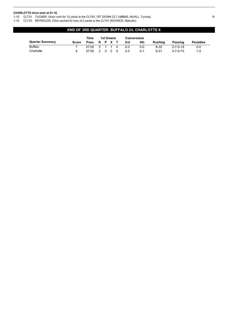### **CHARLOTTE drive start at 01:16.**

1-10 CLT31 TUCKER, Victor rush for 12 yards to the CLT43, 1ST DOWN CLT (ABBAS, Ali;HILL, Tyrone). R

1-10 CLT43 REYNOLDS, Chris sacked for loss of 2 yards to the CLT41 (KOONCE, Malcolm).

### **END OF 3RD QUARTER: BUFFALO 24, CHARLOTTE 6**

|                        |       | Time            |         | 1st Downs |  |  |         | <b>Conversions</b> |          |                  |                  |
|------------------------|-------|-----------------|---------|-----------|--|--|---------|--------------------|----------|------------------|------------------|
| <b>Quarter Summary</b> | Score | Poss            | R P X T |           |  |  | 3rd     | 4th                | Rushina  | <b>Passing</b>   | <b>Penalties</b> |
| Buffalo                |       | $07:05$ 2 1 1 4 |         |           |  |  | $0 - 3$ | $0 - 0$            | $8 - 35$ | $2 - 7 - 0 - 18$ | $0-0$            |
| Charlotte              |       | $07:55$ 2 3 0 5 |         |           |  |  | $2 - 3$ | $0 - 1$            | $9 - 31$ | $4 - 7 - 0 - 73$ | $1-5$            |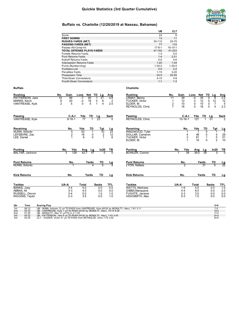

|                                  | UB           | <b>CLT</b>    |
|----------------------------------|--------------|---------------|
| Score                            | 24           | 6             |
| <b>FIRST DOWNS</b>               | 13           | 11            |
| <b>RUSHES-YARDS (NET)</b>        | 30-115       | 25-70         |
| <b>PASSING-YARDS (NET)</b>       | 77           | 133           |
| Passes Att-Comp-Int              | $17 - 8 - 1$ | $16 - 10 - 1$ |
| <b>TOTAL OFFENSE PLAYS-YARDS</b> | 47-192       | 41-203        |
| Fumble Retums-Yards              | $1 - 3$      | $0-0$         |
| Punt Returns-Yards               | $1 - 4$      | $2 - 31$      |
| Kickoff Returns-Yards            | $0 - 0$      | $0-0$         |
| Interception Returns-Yards       | $1 - 20$     | $1 - 34$      |
| Punts (Number-Avg)               | $1 - 39.0$   | $1 - 39.0$    |
| Fumbles-Lost                     | $0 - 0$      | $2 - 2$       |
| Penalties-Yards                  | $1 - 15$     | $3 - 20$      |
| Possession Time                  | 24:5         | 20:55         |
| <b>Third-Down Conversions</b>    | $4 - 10$     | $4 - 9$       |
| Fourth-Down Conversions          | $1 - 1$      | $1 - 3$       |

#### **Buffalo Charlotte**

### **Rushing No. Gain Loss Net TD Lg Avg** PATTERSON, Jare 19 99 -7 92 1 21 4.8 MARKS, Kevin 9 20 -2 18 0 6 2 **Rushing Mo. Gain Loss Net TD Lg Avg**<br>
PATTERSON, Jare 19 99 -7 92 1 21 4.8<br>
MARKS, Kevin 9 20 -2 18 0 6 2<br>
VANTREASE, Kyle 2 5 0 5 1 4 2.5 **Rushing No. Gain Loss Net TD Lg Avg** LEMAY, Benny 11 39 -4 35 0 8 3.2 TUCKER, Victor 1 12 0 12 0 12 12 ELDER, M. 2 10 0 10 0 7 5 REYNOLDS, Chris **Passing C-A-I Yds TD Lg Sack** VANTREASE, Kyle 8-16-1 77 1 23 0 **Passing C-A-I Yds TD Lg Sack** REYNOLDS, Chris 10-16-1 127 1 51 2 **Receiving No. Yds TD Tgt Lg** NUNN, Antonio 5 53 1 10 23 LEFEBVRE, Zac 2 18 0 2 12 LEE, Daniel 1 6 0 1 6 **Receiving No. Yds TD Tgt Lg** RINGWOOD, Tyler 1 7 0 1 7 DOLLAR, Cameron 4 48 0 4 29 TUCKER, Victor 3 61 1 5 51 POLLAR, Cameron<br>
TUCKER, Victor<br>
TUCKER, Victor<br>
ELDER, M. 1 10 0 2 10 **Punting No. Yds Avg Lg In20 TB** BALTAR, Jackson 3 128 42.7 47 0 0 **Punting No. Yds Avg Lg In20 TB** BOWLER, Connor 1 39 39.0 39 0 0 **Punt Returns No. Yards TD Lg** NUNN, Antonio **Punt Returns**<br> **No. Yards TD Lg**<br> **No. Yards TD Lg**<br>  $\frac{2}{31}$  0 22 LYON, Nafees **Kick Returns No. Yards TD Lg Kick Returns No. Yards TD Lg Tackles UA-A Total Sacks TFL** BANKS, Joey 3-4 5.0 0.0 0.0 ABBAS, Ali 3-3 4.5 0.0 0.0 RUSSELL, Devon 3-4 5.0 1.0 1.0 RIGGINS, Taylor 2-3 3.5 0.0 1.0 **Tackles UA-A Total Sacks TFL** WATTS, Markees 1-6 4.0 0.0 1.0 GIBBS,Marquavis 4-4 6.0 0.0 2.0 FUGATE, Jacione 2-3 3.5 0.0 0.0 HIGHSMITH, Alex 0-3 1.5 0.0 0.0 **Qtr Time Scoring Play V-H**

| 1st | 09:12 | UB - NUNN, Antonio 12 yd TD PASS from VANTREASE, Kyle (KICK by MCNULTY, Alex), 7-61 3:11 |          |
|-----|-------|------------------------------------------------------------------------------------------|----------|
| 2nd | 03:33 | UB - VANTREASE, Kyle 1 yd TD RUSH (KICK by MCNULTY, Alex), 15-74 8:26                    | $14 - 0$ |
| 2nd | 01:25 | UB - MCNULTY, Alex 31 vd FG 4--2 1:55                                                    | $17-0$   |
| 3rd | 05:22 | UB - PATTERSON, Jare 6 vd TD RUSH (KICK by MCNULTY, Alex), 7-43 3:45                     | $24-0$   |
| 3rd | 02:20 | CLT - TUCKER, Victor 51 yd TD PASS from REYNOLDS, Chris 7-75 3:02                        | $24-6$   |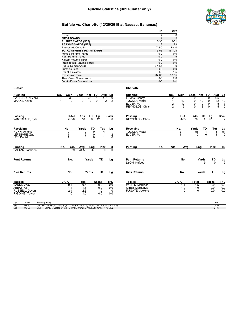

**UB CLT**

### **Buffalo vs. Charlotte (12/20/2019 at Nassau, Bahamas)**

| Punting<br>BALTAR, Jackson                                 | Yds<br>No.<br>89<br>$\overline{2}$                                                                 | Avg<br>Lng<br>44.5                                      | ln 20<br>47                                                                           | TВ                              | <b>Punting</b>                                                                                | No.                                                      | Yds                                                       | Avg                                   | Lng                                                             | In20                                     | TВ                                                                         |
|------------------------------------------------------------|----------------------------------------------------------------------------------------------------|---------------------------------------------------------|---------------------------------------------------------------------------------------|---------------------------------|-----------------------------------------------------------------------------------------------|----------------------------------------------------------|-----------------------------------------------------------|---------------------------------------|-----------------------------------------------------------------|------------------------------------------|----------------------------------------------------------------------------|
| Receiving<br>NUNN, Antonio<br>LEFEBVRE, Zac<br>LEE, Daniel | No.<br>0<br>$\mathbf 1$<br>$\mathbf{1}$                                                            | Yards<br>$\Omega$<br>12<br>6                            | TD<br>Tgt<br>$\Omega$<br>4<br>$\mathbf 0$<br>$\mathbf{1}$<br>$\Omega$<br>$\mathbf{1}$ | Lg<br>12<br>6                   | Receiving<br><b>TUCKER, Victor</b><br>ELDER, M.                                               |                                                          |                                                           | No.<br>$\overline{2}$<br>$\mathbf{1}$ | Yards<br>TD<br>56<br>10                                         | Tgt<br>3<br>$\Omega$<br>$\mathbf{1}$     | $\frac{Lg}{51}$<br>10                                                      |
| Passing<br>VANTREASE, Kyle                                 | C-A-I<br>$2 - 6 - 0$                                                                               | TD<br>Yds<br>18<br>$\overline{0}$                       | Lg<br>12                                                                              | Sack<br>$\overline{0}$          | Passing<br><b>REYNOLDS, Chris</b>                                                             |                                                          |                                                           | C-A-I<br>$4 - 7 - 0$                  | Yds<br>TD<br>70<br>1                                            | Lg<br>51                                 | Sack<br>2                                                                  |
| Buffalo<br>Rushing<br>PATTERSON, Jare<br>MARKS, Kevin      | Gain<br>No.<br>33<br>2<br>1                                                                        | Net TD<br>Loss<br>0<br>33<br>0<br>2                     | Avg<br>4.7<br>-1<br>0                                                                 | _Lg<br>9<br>$\overline{2}$<br>2 | Charlotte<br>Rushing<br>LEMAY, Benny<br><b>TUCKER, Victor</b><br>ELDER, M.<br>REYNOLDS, Chris |                                                          | No.<br>2<br>1<br>$\overline{2}$<br>$\overline{2}$         | Gain<br>9<br>12<br>10<br>3            | Net TD<br>Loss<br>9<br>0<br>12<br>0<br>0<br>10<br>$\Omega$<br>3 | Avg<br>0<br>0<br>$\mathbf 0$<br>$\Omega$ | Lg<br>8<br>4.5<br>12<br>12<br>5<br>$\overline{7}$<br>$\overline{2}$<br>1.5 |
|                                                            | Punts (Number-Avg)<br>Fumbles-Lost<br>Penalties-Yards<br>Possession Time<br>Third-Down Conversions | Fourth-Down Conversions                                 |                                                                                       |                                 |                                                                                               | 2-44.5<br>$0-0$<br>$0-0$<br>07:05<br>$0 - 3$<br>$0-0$    | -0<br>$0-0$<br>$1-5$<br>07:55<br>$2 - 3$<br>$0 - 1$       |                                       |                                                                 |                                          |                                                                            |
|                                                            | Passes Att-Comp-Int<br>Fumble Retums-Yards<br>Punt Returns-Yards<br>Kickoff Returns-Yards          | TOTAL OFFENSE PLAYS-YARDS<br>Interception Returns-Yards |                                                                                       |                                 |                                                                                               | $7 - 2 - 0$<br>15-53<br>$0-0$<br>$0-0$<br>$0-0$<br>$0-0$ | $7 - 4 - 0$<br>16-104<br>$0-0$<br>$1-9$<br>$0-0$<br>$0-0$ |                                       |                                                                 |                                          |                                                                            |
|                                                            | <b>FIRST DOWNS</b><br><b>RUSHES-YARDS (NET)</b><br><b>PASSING-YARDS (NET)</b>                      |                                                         |                                                                                       |                                 |                                                                                               | $\overline{7}$<br>$\overline{4}$<br>$8 - 35$<br>18       | 5<br>9-31<br>73                                           |                                       |                                                                 |                                          |                                                                            |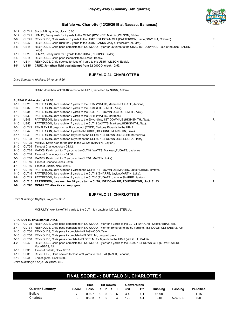

|          |             | 2-12 CLT41 Start of 4th quarter, clock 15:00.                                                                  |  |
|----------|-------------|----------------------------------------------------------------------------------------------------------------|--|
| $2 - 12$ |             | CLT41 LEMAY, Benny rush for 4 yards to the CLT45 (KOONCE, Malcolm: WILSON, Eddie).                             |  |
| 3-8      |             | CLT45 REYNOLDS, Chris rush for 8 yards to the UB47, 1ST DOWN CLT (PATTERSON, Jame; ONWUKA, Chibuez).           |  |
| 1-10     | UB47        | REYNOLDS, Chris rush for 2 yards to the UB45 (BANKS, Joey; OTWINOWSKI, Mat).                                   |  |
| 2-8      | UB45        | REYNOLDS, Chris pass complete to RINGWOOD, Tyler for 25 yards to the UB20, 1ST DOWN CLT, out-of-bounds (BANKS, |  |
|          |             | $Joe$ ).                                                                                                       |  |
| $1 - 10$ | <b>UB20</b> | LEMAY, Benny rush for 6 yards to the UB14 (RIGGINS, Taylor).                                                   |  |
| $2 - 4$  | UB14        | REYNOLDS, Chris pass incomplete to LEMAY, Benny.                                                               |  |
| $3 - 4$  | UB14        | REYNOLDS, Chris sacked for loss of 1 yard to the UB15 (WILSON, Eddie).                                         |  |

**4-5 UB15 CRUZ, Jonathan field goal attempt from 32 GOOD, clock 10:50.**

### **BUFFALO 24, CHARLOTTE 9**

*Drive Summary: 10 plays, 54 yards, 5:26*

CRUZ, Jonathan kickoff 46 yards to the UB19, fair catch by NUNN, Antonio.

### **BUFFALO drive start at 10:50.**

| $1 - 10$ | <b>UB25</b>       | PATTERSON, Jare rush for 7 yards to the UB32 (WATTS, Markees; FUGATE, Jacione).           |    |
|----------|-------------------|-------------------------------------------------------------------------------------------|----|
| $2 - 3$  | <b>UB32</b>       | PATTERSON, Jare rush for 2 yards to the UB34 (HIGHSMITH, Alex).                           |    |
| $3 - 1$  | <b>UB34</b>       | PATTERSON, Jare rush for 5 yards to the UB39, 1ST DOWN UB (HIGHSMITH, Alex).              | R. |
| $1 - 10$ | <b>UB39</b>       | PATTERSON, Jare rush for 9 yards to the UB48 (WATTS, Markees).                            |    |
| $2 - 1$  | <b>UB48</b>       | PATTERSON, Jare rush for 2 yards to the 50 yardline, 1ST DOWN UB (HIGHSMITH, Alex).       | R  |
| $1 - 10$ | <b>UB50</b>       | PATTERSON, Jare rush for 7 yards to the CLT43 (WATTS, Markees; HIGHSMITH, Alex).          |    |
| $2 - 3$  | CLT43             | PENALTY UB unsportsmanlike conduct (TODD, Carlton) 15 yards to the UB42.                  |    |
| $2 - 18$ | <b>UB42</b>       | PATTERSON, Jare rush for 1 yard to the UB43 (OSBORNE, M.; MARTIN, Luke).                  |    |
| $3 - 17$ | <b>UB43</b>       | PATTERSON, Jare rush for 19 yards to the CLT38, 1ST DOWN UB (GIBBS, Marquavis).           | R. |
| $1 - 10$ | CLT38             | PATTERSON, Jare rush for 13 yards to the CLT25, 1ST DOWN UB (SEGURA, Henry).              | R  |
| $1 - 10$ | CLT25             | MARKS, Kevin rush for no gain to the CLT25 (SHARPE, Jaylon).                              |    |
| $2 - 10$ | CLT25             | Timeout Charlotte, clock 04:12.                                                           |    |
| $2 - 10$ | CLT25             | MARKS, Kevin rush for 7 yards to the CLT18 (WATTS, Markees; FUGATE, Jacione).             |    |
| $3 - 3$  | CLT18             | Timeout Charlotte, clock 04:00.                                                           |    |
| $3 - 3$  | CLT18             | MARKS, Kevin rush for 2 yards to the CLT16 (MARTIN, Luke).                                |    |
| $4 - 1$  | CLT16             | Timeout Charlotte, clock 03:56.                                                           |    |
| 4-1      | CLT16             | Timeout Buffalo, clock 03:56.                                                             |    |
| 4-1      | CLT16             | PATTERSON, Jare rush for 1 yard to the CLT15, 1ST DOWN UB (MARTIN, Luke; HORNE, Timmy).   | R. |
| $1 - 10$ | CLT15             | PATTERSON, Jare rush for 2 yards to the CLT13 (SHARPE, Jaylon; MARTIN, Luke).             |    |
| $2 - 8$  | CLT <sub>13</sub> | PATTERSON, Jare rush for 3 yards to the CLT10 (FUGATE, Jacione; SHARPE, Jaylon).          |    |
| $3 - 5$  |                   | CLT10 PATTERSON, Jare rush for 10 yards to the CLT0, 1ST DOWN UB, TOUCHDOWN, clock 01:43. | R  |
| $1-0$    |                   | CLT03 MCNULTY, Alex kick attempt good.                                                    |    |

### **BUFFALO 31, CHARLOTTE 9**

*Drive Summary: 16 plays, 75 yards, 9:07*

MCNULTY, Alex kickoff 64 yards to the CLT1, fair catch by MCALLISTER, A..

### **CHARLOTTE drive start at 01:43.**

|      |                                                                                                     | P                                                                                                                                                                                                                                                                                                                                                                                                                                                                  |
|------|-----------------------------------------------------------------------------------------------------|--------------------------------------------------------------------------------------------------------------------------------------------------------------------------------------------------------------------------------------------------------------------------------------------------------------------------------------------------------------------------------------------------------------------------------------------------------------------|
|      |                                                                                                     |                                                                                                                                                                                                                                                                                                                                                                                                                                                                    |
|      |                                                                                                     |                                                                                                                                                                                                                                                                                                                                                                                                                                                                    |
|      |                                                                                                     |                                                                                                                                                                                                                                                                                                                                                                                                                                                                    |
| UB42 | REYNOLDS, Chris pass complete to RINGWOOD, Tyler for 7 yards to the UB35, 1ST DOWN CLT (OTWINOWSKI, | P                                                                                                                                                                                                                                                                                                                                                                                                                                                                  |
|      | Mat;ABBAS, Ali).                                                                                    |                                                                                                                                                                                                                                                                                                                                                                                                                                                                    |
| UB35 | Timeout Buffalo, clock 00:03.                                                                       |                                                                                                                                                                                                                                                                                                                                                                                                                                                                    |
| UB35 | REYNOLDS, Chris sacked for loss of 9 yards to the UB44 (MACK, Ledarius).                            |                                                                                                                                                                                                                                                                                                                                                                                                                                                                    |
|      |                                                                                                     | CLT25 REYNOLDS, Chris pass complete to RINGWOOD, Tyler for 6 yards to the CLT31 (WRIGHT, Kadofi;ABBAS, Ali).<br>CLT31 REYNOLDS, Chris pass complete to RINGWOOD, Tyler for 19 yards to the 50 yardline, 1ST DOWN CLT (ABBAS, Ali).<br>CLT50 REYNOLDS, Chris pass incomplete to RINGWOOD, Tyler.<br>CLT50 REYNOLDS, Chris pass incomplete to ELDER, M., dropped pass.<br>CLT50 REYNOLDS, Chris pass complete to ELDER, M. for 8 yards to the UB42 (WRIGHT, Kadofi). |

2-19 UB44 End of game, clock 00:00.

*Drive Summary: 7 plays, 31 yards, 1:43*

## **FINAL SCORE - : BUFFALO 31, CHARLOTTE 9**

|                        |       | Time          | <b>1st Downs</b> |             |     |   | <b>Conversions</b> |         |          |                  |                  |
|------------------------|-------|---------------|------------------|-------------|-----|---|--------------------|---------|----------|------------------|------------------|
| <b>Quarter Summary</b> | Score | <b>Poss</b>   |                  | R P X T     |     |   | 3rd                | 4th     | Rushina  | Passing          | <b>Penalties</b> |
| <b>Buffalo</b>         |       | 09:07 6 0 0 6 |                  |             |     |   | $3-4$              | $1 - 1$ | 16-90    | $---$            | $1 - 15$         |
| Charlotte              |       | 05:53         |                  | $1 \quad 3$ | - 0 | 4 | $1 - 3$            | $1 - 1$ | $6 - 10$ | $5 - 8 - 0 - 65$ | $0-0$            |